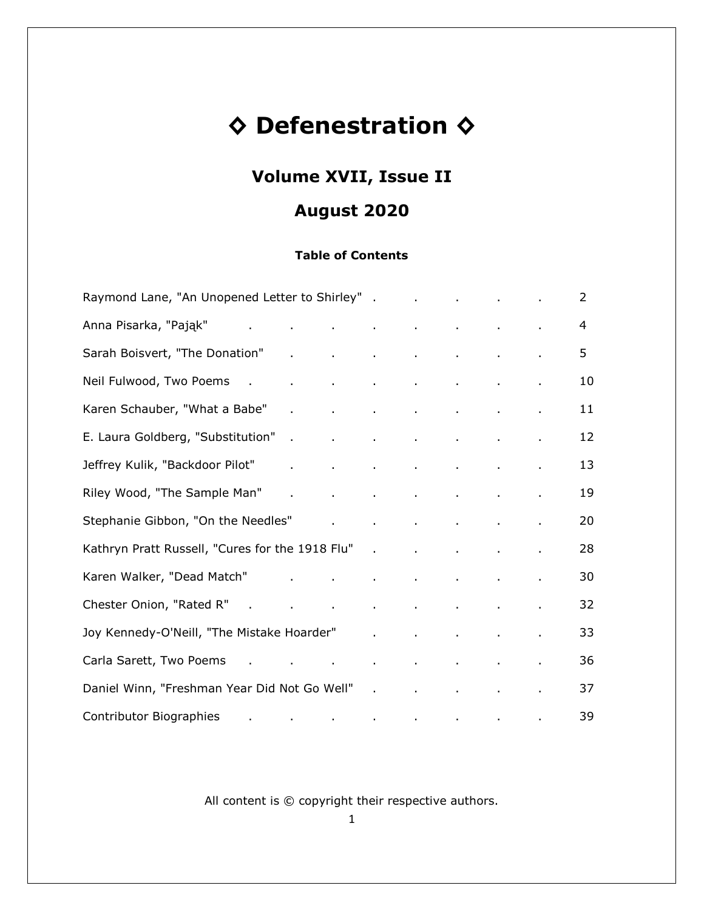# **◊ Defenestration ◊**

# **Volume XVII, Issue II**

# **August 2020**

## **Table of Contents**

| Raymond Lane, "An Unopened Letter to Shirley" . The case of the contract of the contract of the contract of the                                                                                                                                             |                                                           |  |                                                                 |              | 2  |
|-------------------------------------------------------------------------------------------------------------------------------------------------------------------------------------------------------------------------------------------------------------|-----------------------------------------------------------|--|-----------------------------------------------------------------|--------------|----|
| Anna Pisarka, "Pająk" and antikinis and anna Pisarka, "Pająk" and antikinis and anna anna anna anna anna ann                                                                                                                                                |                                                           |  |                                                                 |              | 4  |
| Sarah Boisvert, "The Donation" All Allen Allen Allen Allen Allen Allen Allen Allen Allen Allen Allen Allen All                                                                                                                                              |                                                           |  |                                                                 | ¥,           | 5  |
| Neil Fulwood, Two Poems . A manuscript of the contract of the contract of the contract of the contract of the c                                                                                                                                             |                                                           |  |                                                                 |              | 10 |
| Karen Schauber, "What a Babe"                                                                                                                                                                                                                               | and the control of the control of the control of the con- |  |                                                                 | $\mathbf{r}$ | 11 |
| E. Laura Goldberg, "Substitution"<br>ä,                                                                                                                                                                                                                     |                                                           |  | the contract of the contract of the contract of the contract of |              | 12 |
| Jeffrey Kulik, "Backdoor Pilot"<br>¥,                                                                                                                                                                                                                       |                                                           |  | the contract of the contract of the contract of the contract of | $\mathbf{r}$ | 13 |
| Riley Wood, "The Sample Man"                                                                                                                                                                                                                                |                                                           |  | and the contract of the contract of the contract of the con-    | $\mathbf{r}$ | 19 |
| Stephanie Gibbon, "On the Needles" and a series of the set of the set of the set of the set of the set of the                                                                                                                                               |                                                           |  |                                                                 |              | 20 |
| Kathryn Pratt Russell, "Cures for the 1918 Flu"                                                                                                                                                                                                             |                                                           |  |                                                                 |              | 28 |
| Karen Walker, "Dead Match" Album Album Album Album Album Album Album Album Album Album Album Album Album Album                                                                                                                                              |                                                           |  |                                                                 |              | 30 |
| Chester Onion, "Rated R" (Chester Onion, "Rated R" (Chester Chester Allen Chester Chester Allen Chester Allen                                                                                                                                               |                                                           |  |                                                                 | $\epsilon$   | 32 |
| Joy Kennedy-O'Neill, "The Mistake Hoarder" and all all the control of the Mistake Hoarder" and all all the control of the control of the control of the control of the control of the control of the control of the control of                              |                                                           |  |                                                                 | ¥.           | 33 |
| Carla Sarett, Two Poems and the contract of the contract of the contract of the contract of the contract of the                                                                                                                                             |                                                           |  |                                                                 |              | 36 |
| Daniel Winn, "Freshman Year Did Not Go Well"                                                                                                                                                                                                                |                                                           |  |                                                                 |              | 37 |
| Contributor Biographies<br>$\mathbf{r}$ , and the set of the set of the set of the set of the set of the set of the set of the set of the set of the set of the set of the set of the set of the set of the set of the set of the set of the set of the set |                                                           |  |                                                                 |              | 39 |

All content is © copyright their respective authors.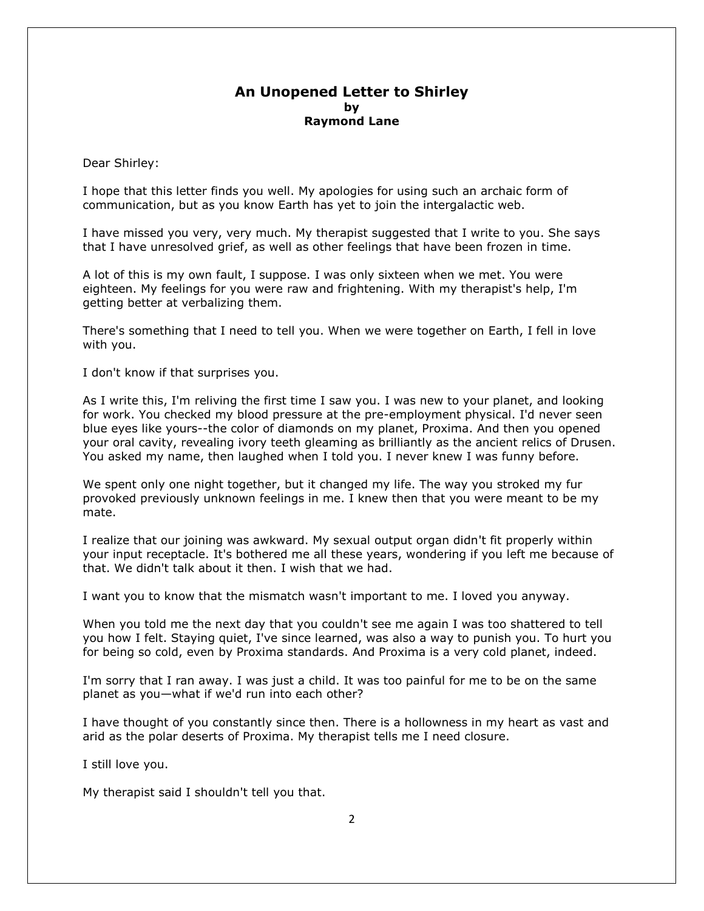#### **An Unopened Letter to Shirley by Raymond Lane**

Dear Shirley:

I hope that this letter finds you well. My apologies for using such an archaic form of communication, but as you know Earth has yet to join the intergalactic web.

I have missed you very, very much. My therapist suggested that I write to you. She says that I have unresolved grief, as well as other feelings that have been frozen in time.

A lot of this is my own fault, I suppose. I was only sixteen when we met. You were eighteen. My feelings for you were raw and frightening. With my therapist's help, I'm getting better at verbalizing them.

There's something that I need to tell you. When we were together on Earth, I fell in love with you.

I don't know if that surprises you.

As I write this, I'm reliving the first time I saw you. I was new to your planet, and looking for work. You checked my blood pressure at the pre-employment physical. I'd never seen blue eyes like yours--the color of diamonds on my planet, Proxima. And then you opened your oral cavity, revealing ivory teeth gleaming as brilliantly as the ancient relics of Drusen. You asked my name, then laughed when I told you. I never knew I was funny before.

We spent only one night together, but it changed my life. The way you stroked my fur provoked previously unknown feelings in me. I knew then that you were meant to be my mate.

I realize that our joining was awkward. My sexual output organ didn't fit properly within your input receptacle. It's bothered me all these years, wondering if you left me because of that. We didn't talk about it then. I wish that we had.

I want you to know that the mismatch wasn't important to me. I loved you anyway.

When you told me the next day that you couldn't see me again I was too shattered to tell you how I felt. Staying quiet, I've since learned, was also a way to punish you. To hurt you for being so cold, even by Proxima standards. And Proxima is a very cold planet, indeed.

I'm sorry that I ran away. I was just a child. It was too painful for me to be on the same planet as you—what if we'd run into each other?

I have thought of you constantly since then. There is a hollowness in my heart as vast and arid as the polar deserts of Proxima. My therapist tells me I need closure.

I still love you.

My therapist said I shouldn't tell you that.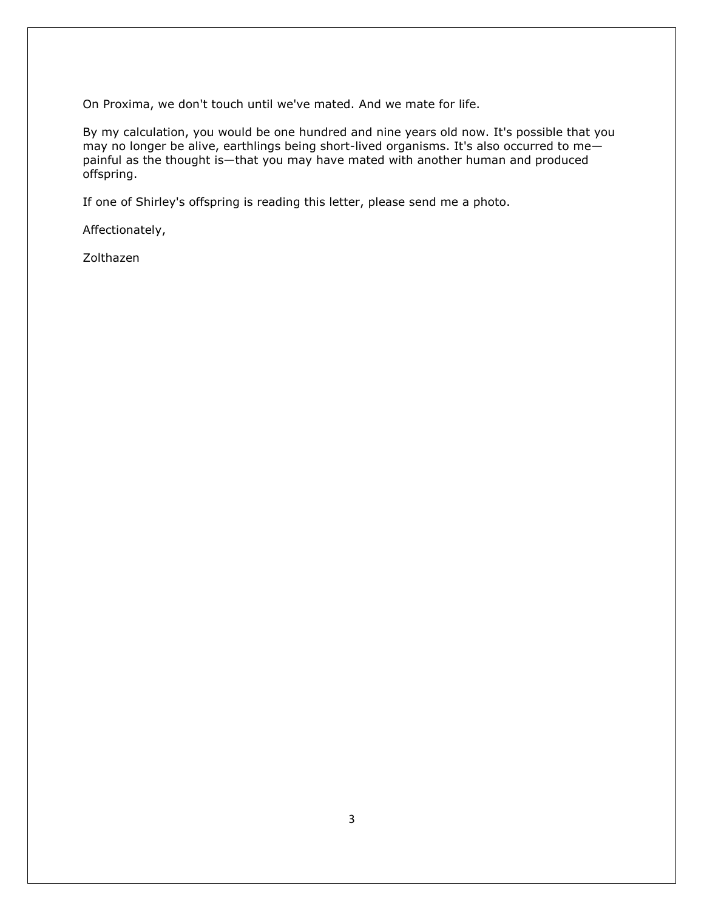On Proxima, we don't touch until we've mated. And we mate for life.

By my calculation, you would be one hundred and nine years old now. It's possible that you may no longer be alive, earthlings being short-lived organisms. It's also occurred to me painful as the thought is—that you may have mated with another human and produced offspring.

If one of Shirley's offspring is reading this letter, please send me a photo.

Affectionately,

Zolthazen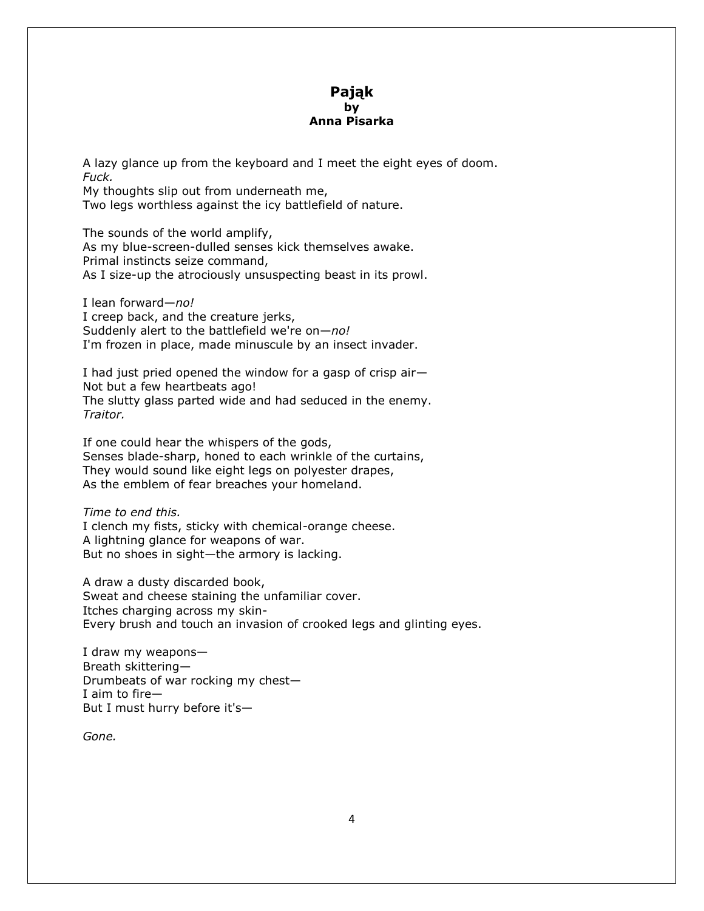#### **Pająk by Anna Pisarka**

A lazy glance up from the keyboard and I meet the eight eyes of doom. *Fuck.*

My thoughts slip out from underneath me, Two legs worthless against the icy battlefield of nature.

The sounds of the world amplify, As my blue-screen-dulled senses kick themselves awake. Primal instincts seize command, As I size-up the atrociously unsuspecting beast in its prowl.

I lean forward—*no!* I creep back, and the creature jerks, Suddenly alert to the battlefield we're on—*no!* I'm frozen in place, made minuscule by an insect invader.

I had just pried opened the window for a gasp of crisp air— Not but a few heartbeats ago! The slutty glass parted wide and had seduced in the enemy. *Traitor.*

If one could hear the whispers of the gods, Senses blade-sharp, honed to each wrinkle of the curtains, They would sound like eight legs on polyester drapes, As the emblem of fear breaches your homeland.

*Time to end this.*

I clench my fists, sticky with chemical-orange cheese. A lightning glance for weapons of war. But no shoes in sight—the armory is lacking.

A draw a dusty discarded book, Sweat and cheese staining the unfamiliar cover. Itches charging across my skin-Every brush and touch an invasion of crooked legs and glinting eyes.

I draw my weapons— Breath skittering— Drumbeats of war rocking my chest— I aim to fire— But I must hurry before it's—

*Gone.*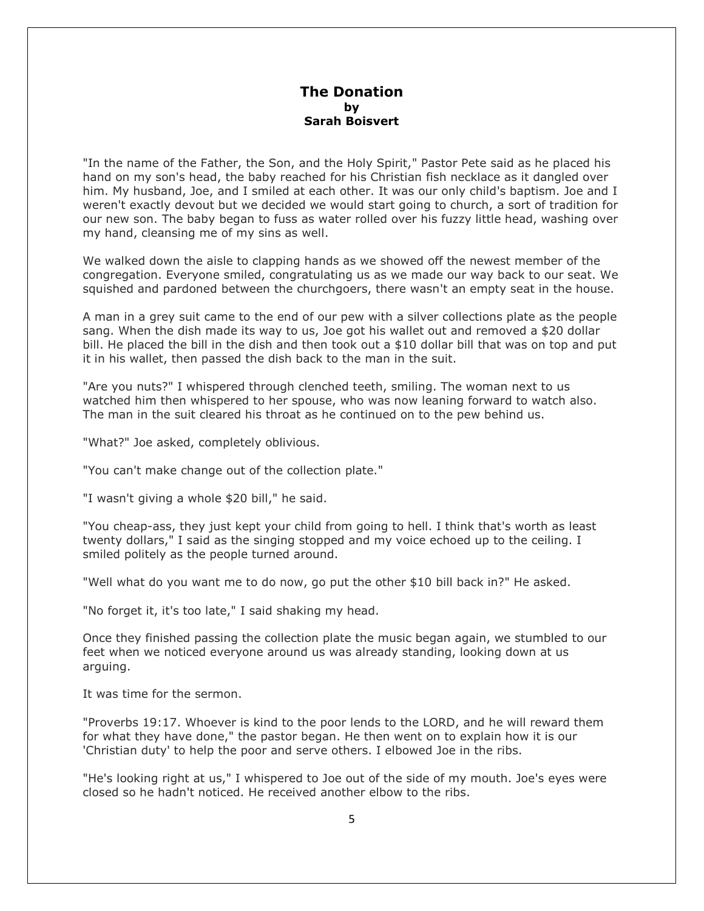#### **The Donation by Sarah Boisvert**

"In the name of the Father, the Son, and the Holy Spirit," Pastor Pete said as he placed his hand on my son's head, the baby reached for his Christian fish necklace as it dangled over him. My husband, Joe, and I smiled at each other. It was our only child's baptism. Joe and I weren't exactly devout but we decided we would start going to church, a sort of tradition for our new son. The baby began to fuss as water rolled over his fuzzy little head, washing over my hand, cleansing me of my sins as well.

We walked down the aisle to clapping hands as we showed off the newest member of the congregation. Everyone smiled, congratulating us as we made our way back to our seat. We squished and pardoned between the churchgoers, there wasn't an empty seat in the house.

A man in a grey suit came to the end of our pew with a silver collections plate as the people sang. When the dish made its way to us, Joe got his wallet out and removed a \$20 dollar bill. He placed the bill in the dish and then took out a \$10 dollar bill that was on top and put it in his wallet, then passed the dish back to the man in the suit.

"Are you nuts?" I whispered through clenched teeth, smiling. The woman next to us watched him then whispered to her spouse, who was now leaning forward to watch also. The man in the suit cleared his throat as he continued on to the pew behind us.

"What?" Joe asked, completely oblivious.

"You can't make change out of the collection plate."

"I wasn't giving a whole \$20 bill," he said.

"You cheap-ass, they just kept your child from going to hell. I think that's worth as least twenty dollars," I said as the singing stopped and my voice echoed up to the ceiling. I smiled politely as the people turned around.

"Well what do you want me to do now, go put the other \$10 bill back in?" He asked.

"No forget it, it's too late," I said shaking my head.

Once they finished passing the collection plate the music began again, we stumbled to our feet when we noticed everyone around us was already standing, looking down at us arguing.

It was time for the sermon.

"Proverbs 19:17. Whoever is kind to the poor lends to the LORD, and he will reward them for what they have done," the pastor began. He then went on to explain how it is our 'Christian duty' to help the poor and serve others. I elbowed Joe in the ribs.

"He's looking right at us," I whispered to Joe out of the side of my mouth. Joe's eyes were closed so he hadn't noticed. He received another elbow to the ribs.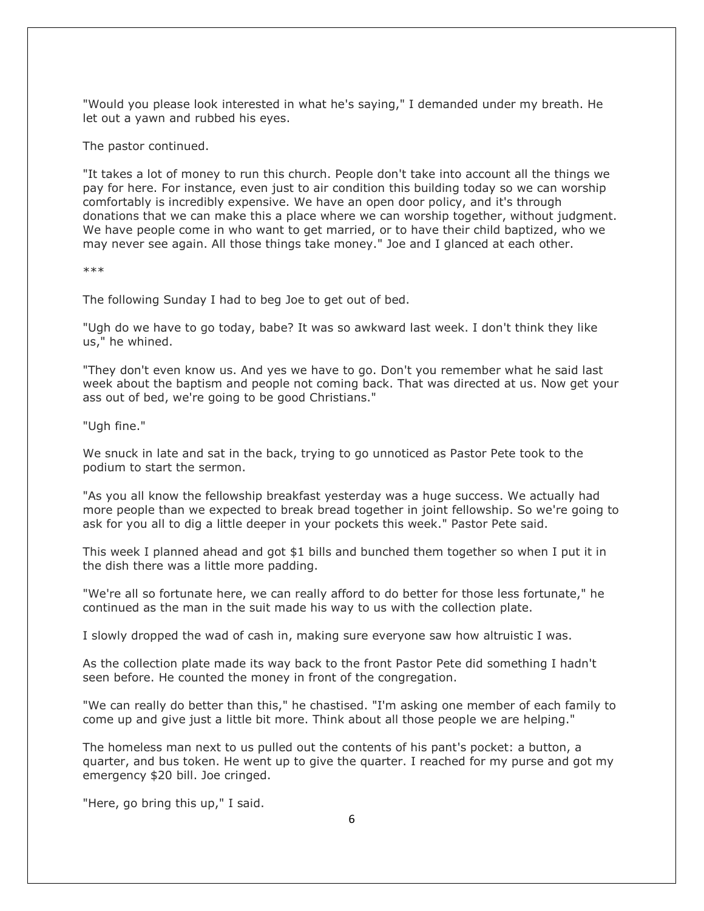"Would you please look interested in what he's saying," I demanded under my breath. He let out a yawn and rubbed his eyes.

The pastor continued.

"It takes a lot of money to run this church. People don't take into account all the things we pay for here. For instance, even just to air condition this building today so we can worship comfortably is incredibly expensive. We have an open door policy, and it's through donations that we can make this a place where we can worship together, without judgment. We have people come in who want to get married, or to have their child baptized, who we may never see again. All those things take money." Joe and I glanced at each other.

\*\*\*

The following Sunday I had to beg Joe to get out of bed.

"Ugh do we have to go today, babe? It was so awkward last week. I don't think they like us," he whined.

"They don't even know us. And yes we have to go. Don't you remember what he said last week about the baptism and people not coming back. That was directed at us. Now get your ass out of bed, we're going to be good Christians."

"Ugh fine."

We snuck in late and sat in the back, trying to go unnoticed as Pastor Pete took to the podium to start the sermon.

"As you all know the fellowship breakfast yesterday was a huge success. We actually had more people than we expected to break bread together in joint fellowship. So we're going to ask for you all to dig a little deeper in your pockets this week." Pastor Pete said.

This week I planned ahead and got \$1 bills and bunched them together so when I put it in the dish there was a little more padding.

"We're all so fortunate here, we can really afford to do better for those less fortunate," he continued as the man in the suit made his way to us with the collection plate.

I slowly dropped the wad of cash in, making sure everyone saw how altruistic I was.

As the collection plate made its way back to the front Pastor Pete did something I hadn't seen before. He counted the money in front of the congregation.

"We can really do better than this," he chastised. "I'm asking one member of each family to come up and give just a little bit more. Think about all those people we are helping."

The homeless man next to us pulled out the contents of his pant's pocket: a button, a quarter, and bus token. He went up to give the quarter. I reached for my purse and got my emergency \$20 bill. Joe cringed.

"Here, go bring this up," I said.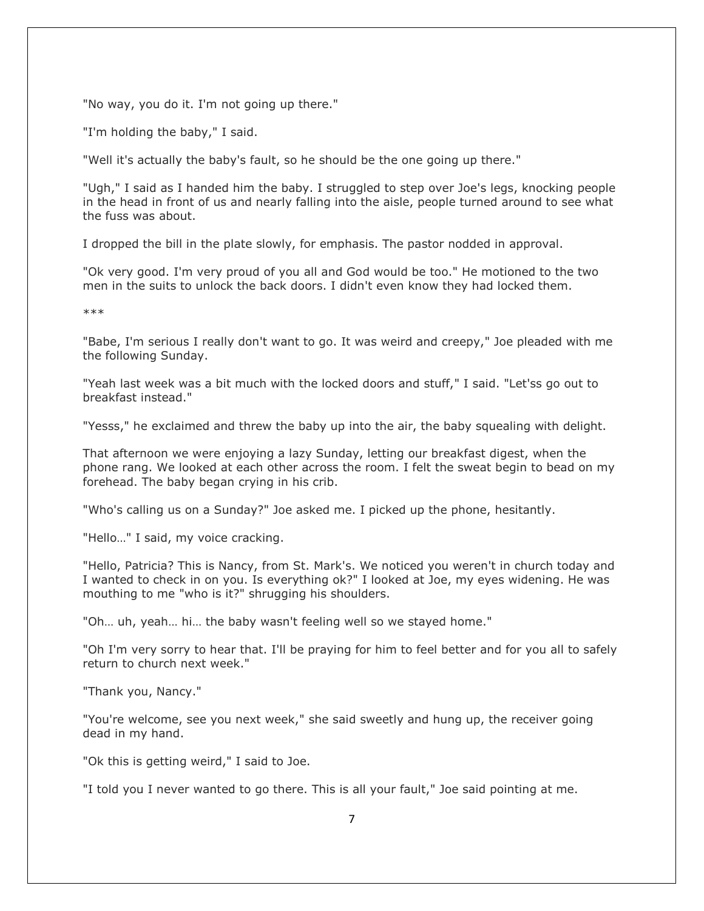"No way, you do it. I'm not going up there."

"I'm holding the baby," I said.

"Well it's actually the baby's fault, so he should be the one going up there."

"Ugh," I said as I handed him the baby. I struggled to step over Joe's legs, knocking people in the head in front of us and nearly falling into the aisle, people turned around to see what the fuss was about.

I dropped the bill in the plate slowly, for emphasis. The pastor nodded in approval.

"Ok very good. I'm very proud of you all and God would be too." He motioned to the two men in the suits to unlock the back doors. I didn't even know they had locked them.

\*\*\*

"Babe, I'm serious I really don't want to go. It was weird and creepy," Joe pleaded with me the following Sunday.

"Yeah last week was a bit much with the locked doors and stuff," I said. "Let'ss go out to breakfast instead."

"Yesss," he exclaimed and threw the baby up into the air, the baby squealing with delight.

That afternoon we were enjoying a lazy Sunday, letting our breakfast digest, when the phone rang. We looked at each other across the room. I felt the sweat begin to bead on my forehead. The baby began crying in his crib.

"Who's calling us on a Sunday?" Joe asked me. I picked up the phone, hesitantly.

"Hello…" I said, my voice cracking.

"Hello, Patricia? This is Nancy, from St. Mark's. We noticed you weren't in church today and I wanted to check in on you. Is everything ok?" I looked at Joe, my eyes widening. He was mouthing to me "who is it?" shrugging his shoulders.

"Oh… uh, yeah… hi… the baby wasn't feeling well so we stayed home."

"Oh I'm very sorry to hear that. I'll be praying for him to feel better and for you all to safely return to church next week."

"Thank you, Nancy."

"You're welcome, see you next week," she said sweetly and hung up, the receiver going dead in my hand.

"Ok this is getting weird," I said to Joe.

"I told you I never wanted to go there. This is all your fault," Joe said pointing at me.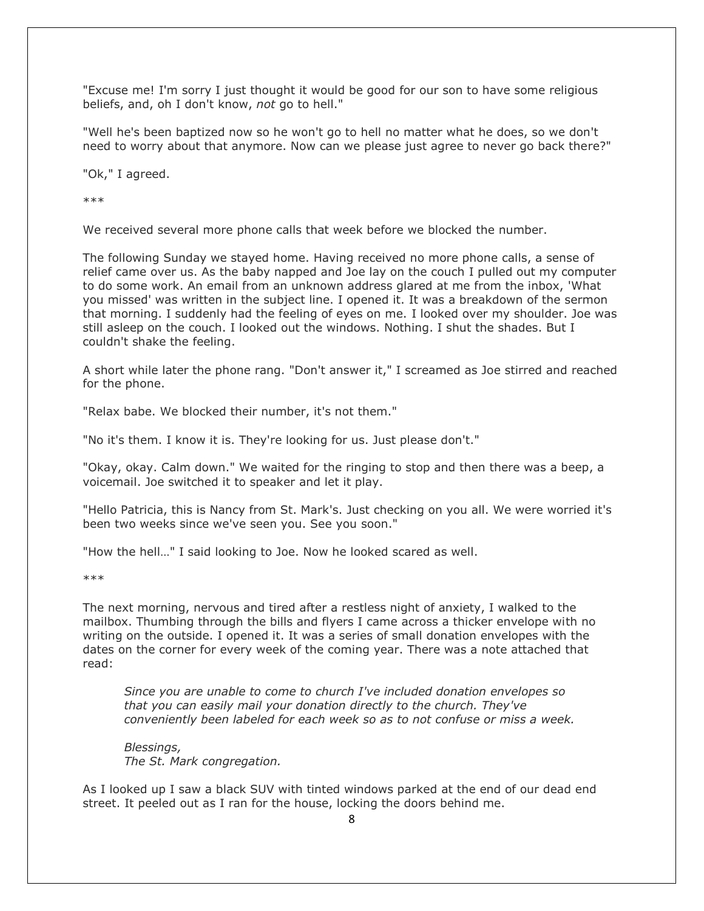"Excuse me! I'm sorry I just thought it would be good for our son to have some religious beliefs, and, oh I don't know, *not* go to hell."

"Well he's been baptized now so he won't go to hell no matter what he does, so we don't need to worry about that anymore. Now can we please just agree to never go back there?"

"Ok," I agreed.

\*\*\*

We received several more phone calls that week before we blocked the number.

The following Sunday we stayed home. Having received no more phone calls, a sense of relief came over us. As the baby napped and Joe lay on the couch I pulled out my computer to do some work. An email from an unknown address glared at me from the inbox, 'What you missed' was written in the subject line. I opened it. It was a breakdown of the sermon that morning. I suddenly had the feeling of eyes on me. I looked over my shoulder. Joe was still asleep on the couch. I looked out the windows. Nothing. I shut the shades. But I couldn't shake the feeling.

A short while later the phone rang. "Don't answer it," I screamed as Joe stirred and reached for the phone.

"Relax babe. We blocked their number, it's not them."

"No it's them. I know it is. They're looking for us. Just please don't."

"Okay, okay. Calm down." We waited for the ringing to stop and then there was a beep, a voicemail. Joe switched it to speaker and let it play.

"Hello Patricia, this is Nancy from St. Mark's. Just checking on you all. We were worried it's been two weeks since we've seen you. See you soon."

"How the hell…" I said looking to Joe. Now he looked scared as well.

\*\*\*

The next morning, nervous and tired after a restless night of anxiety, I walked to the mailbox. Thumbing through the bills and flyers I came across a thicker envelope with no writing on the outside. I opened it. It was a series of small donation envelopes with the dates on the corner for every week of the coming year. There was a note attached that read:

*Since you are unable to come to church I've included donation envelopes so that you can easily mail your donation directly to the church. They've conveniently been labeled for each week so as to not confuse or miss a week.*

*Blessings, The St. Mark congregation.*

As I looked up I saw a black SUV with tinted windows parked at the end of our dead end street. It peeled out as I ran for the house, locking the doors behind me.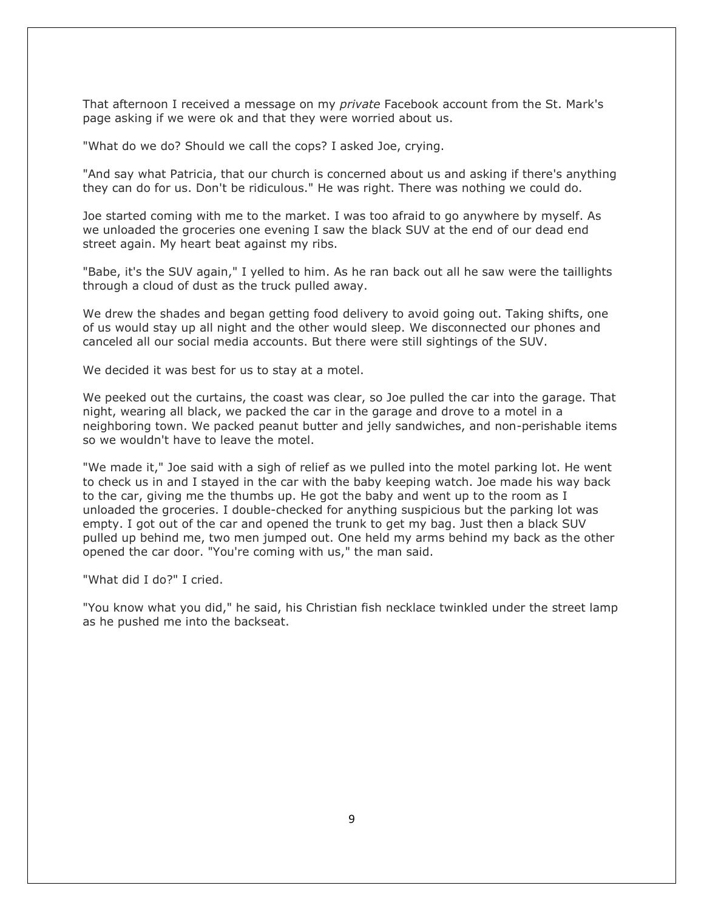That afternoon I received a message on my *private* Facebook account from the St. Mark's page asking if we were ok and that they were worried about us.

"What do we do? Should we call the cops? I asked Joe, crying.

"And say what Patricia, that our church is concerned about us and asking if there's anything they can do for us. Don't be ridiculous." He was right. There was nothing we could do.

Joe started coming with me to the market. I was too afraid to go anywhere by myself. As we unloaded the groceries one evening I saw the black SUV at the end of our dead end street again. My heart beat against my ribs.

"Babe, it's the SUV again," I yelled to him. As he ran back out all he saw were the taillights through a cloud of dust as the truck pulled away.

We drew the shades and began getting food delivery to avoid going out. Taking shifts, one of us would stay up all night and the other would sleep. We disconnected our phones and canceled all our social media accounts. But there were still sightings of the SUV.

We decided it was best for us to stay at a motel.

We peeked out the curtains, the coast was clear, so Joe pulled the car into the garage. That night, wearing all black, we packed the car in the garage and drove to a motel in a neighboring town. We packed peanut butter and jelly sandwiches, and non-perishable items so we wouldn't have to leave the motel.

"We made it," Joe said with a sigh of relief as we pulled into the motel parking lot. He went to check us in and I stayed in the car with the baby keeping watch. Joe made his way back to the car, giving me the thumbs up. He got the baby and went up to the room as I unloaded the groceries. I double-checked for anything suspicious but the parking lot was empty. I got out of the car and opened the trunk to get my bag. Just then a black SUV pulled up behind me, two men jumped out. One held my arms behind my back as the other opened the car door. "You're coming with us," the man said.

"What did I do?" I cried.

"You know what you did," he said, his Christian fish necklace twinkled under the street lamp as he pushed me into the backseat.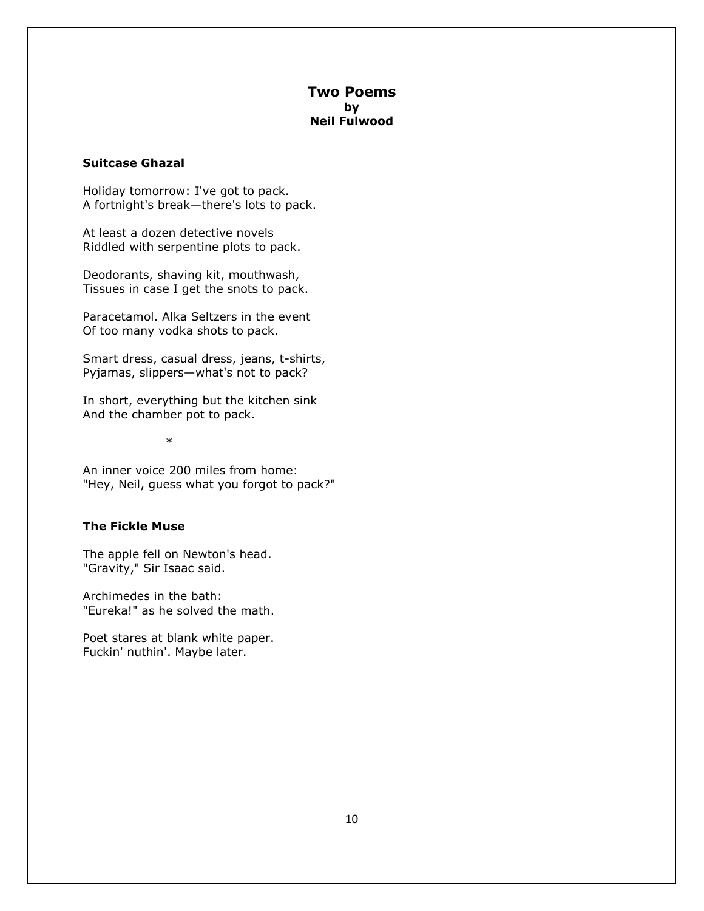#### **Two Poems by Neil Fulwood**

#### **Suitcase Ghazal**

Holiday tomorrow: I've got to pack. A fortnight's break—there's lots to pack.

At least a dozen detective novels Riddled with serpentine plots to pack.

Deodorants, shaving kit, mouthwash, Tissues in case I get the snots to pack.

Paracetamol. Alka Seltzers in the event Of too many vodka shots to pack.

Smart dress, casual dress, jeans, t-shirts, Pyjamas, slippers—what's not to pack?

In short, everything but the kitchen sink And the chamber pot to pack.

\*

An inner voice 200 miles from home: "Hey, Neil, guess what you forgot to pack?"

#### **The Fickle Muse**

The apple fell on Newton's head. "Gravity," Sir Isaac said.

Archimedes in the bath: "Eureka!" as he solved the math.

Poet stares at blank white paper. Fuckin' nuthin'. Maybe later.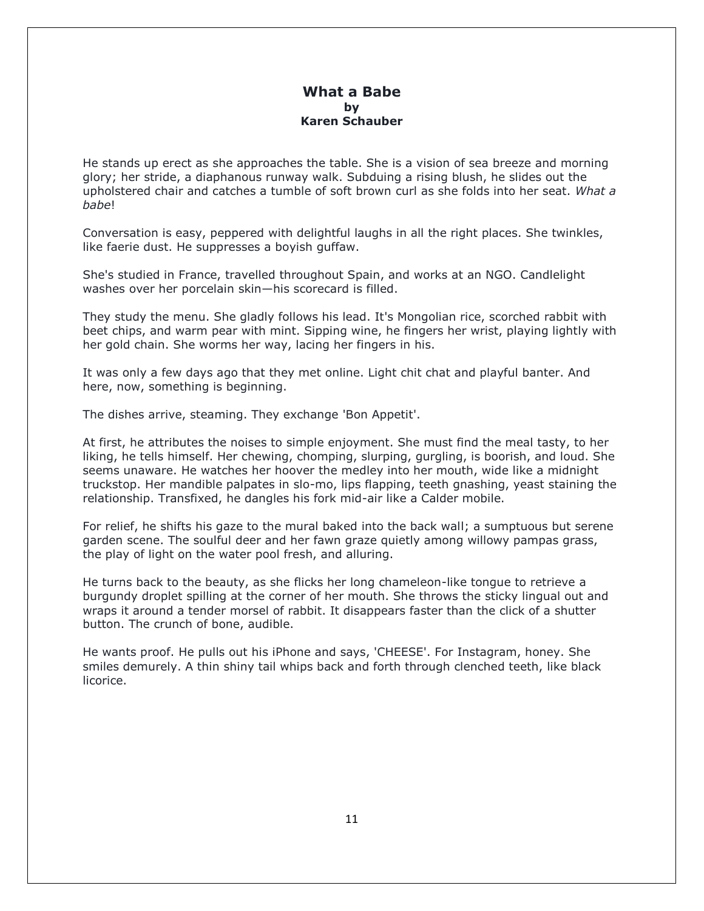#### **What a Babe by Karen Schauber**

He stands up erect as she approaches the table. She is a vision of sea breeze and morning glory; her stride, a diaphanous runway walk. Subduing a rising blush, he slides out the upholstered chair and catches a tumble of soft brown curl as she folds into her seat. *What a babe*!

Conversation is easy, peppered with delightful laughs in all the right places. She twinkles, like faerie dust. He suppresses a boyish guffaw.

She's studied in France, travelled throughout Spain, and works at an NGO. Candlelight washes over her porcelain skin—his scorecard is filled.

They study the menu. She gladly follows his lead. It's Mongolian rice, scorched rabbit with beet chips, and warm pear with mint. Sipping wine, he fingers her wrist, playing lightly with her gold chain. She worms her way, lacing her fingers in his.

It was only a few days ago that they met online. Light chit chat and playful banter. And here, now, something is beginning.

The dishes arrive, steaming. They exchange 'Bon Appetit'.

At first, he attributes the noises to simple enjoyment. She must find the meal tasty, to her liking, he tells himself. Her chewing, chomping, slurping, gurgling, is boorish, and loud. She seems unaware. He watches her hoover the medley into her mouth, wide like a midnight truckstop. Her mandible palpates in slo-mo, lips flapping, teeth gnashing, yeast staining the relationship. Transfixed, he dangles his fork mid-air like a Calder mobile.

For relief, he shifts his gaze to the mural baked into the back wall; a sumptuous but serene garden scene. The soulful deer and her fawn graze quietly among willowy pampas grass, the play of light on the water pool fresh, and alluring.

He turns back to the beauty, as she flicks her long chameleon-like tongue to retrieve a burgundy droplet spilling at the corner of her mouth. She throws the sticky lingual out and wraps it around a tender morsel of rabbit. It disappears faster than the click of a shutter button. The crunch of bone, audible.

He wants proof. He pulls out his iPhone and says, 'CHEESE'. For Instagram, honey. She smiles demurely. A thin shiny tail whips back and forth through clenched teeth, like black licorice.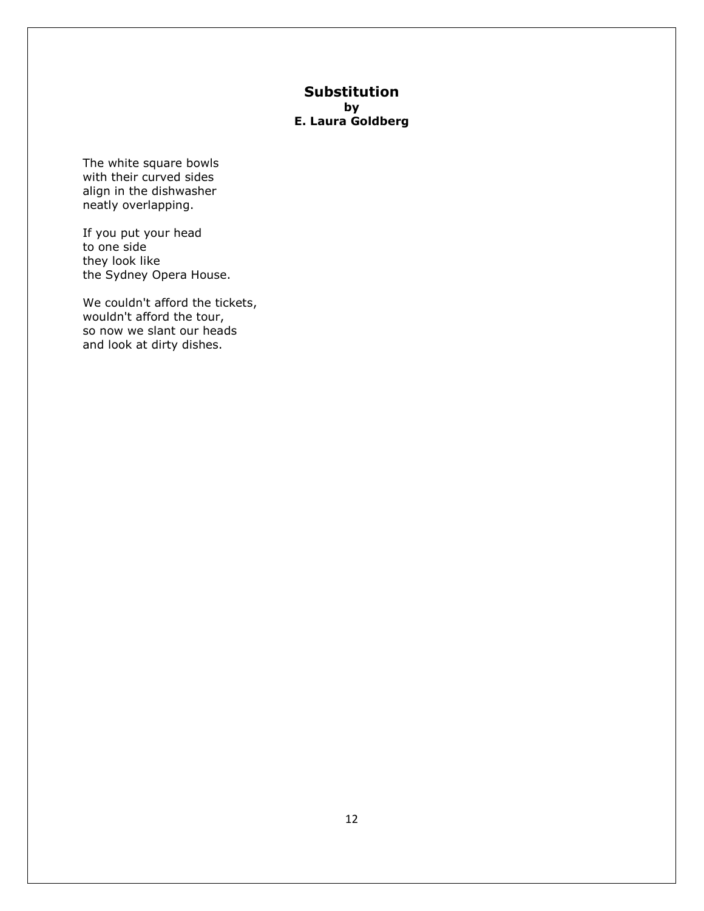### **Substitution by E. Laura Goldberg**

The white square bowls with their curved sides align in the dishwasher neatly overlapping.

If you put your head to one side they look like the Sydney Opera House.

We couldn't afford the tickets, wouldn't afford the tour, so now we slant our heads and look at dirty dishes.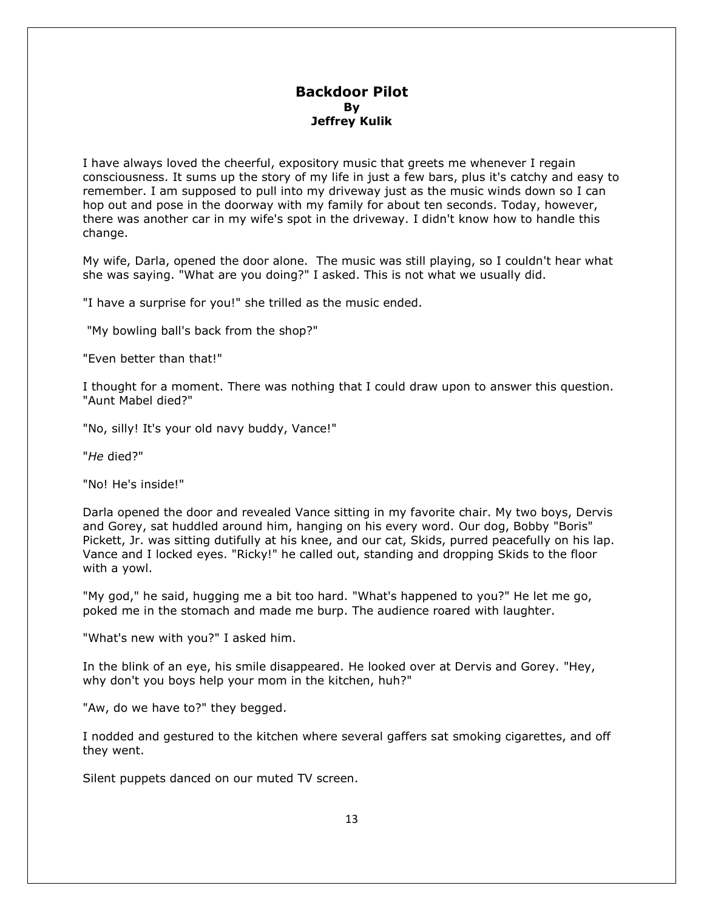#### **Backdoor Pilot By Jeffrey Kulik**

I have always loved the cheerful, expository music that greets me whenever I regain consciousness. It sums up the story of my life in just a few bars, plus it's catchy and easy to remember. I am supposed to pull into my driveway just as the music winds down so I can hop out and pose in the doorway with my family for about ten seconds. Today, however, there was another car in my wife's spot in the driveway. I didn't know how to handle this change.

My wife, Darla, opened the door alone. The music was still playing, so I couldn't hear what she was saying. "What are you doing?" I asked. This is not what we usually did.

"I have a surprise for you!" she trilled as the music ended.

"My bowling ball's back from the shop?"

"Even better than that!"

I thought for a moment. There was nothing that I could draw upon to answer this question. "Aunt Mabel died?"

"No, silly! It's your old navy buddy, Vance!"

"*He* died?"

"No! He's inside!"

Darla opened the door and revealed Vance sitting in my favorite chair. My two boys, Dervis and Gorey, sat huddled around him, hanging on his every word. Our dog, Bobby "Boris" Pickett, Jr. was sitting dutifully at his knee, and our cat, Skids, purred peacefully on his lap. Vance and I locked eyes. "Ricky!" he called out, standing and dropping Skids to the floor with a yowl.

"My god," he said, hugging me a bit too hard. "What's happened to you?" He let me go, poked me in the stomach and made me burp. The audience roared with laughter.

"What's new with you?" I asked him.

In the blink of an eye, his smile disappeared. He looked over at Dervis and Gorey. "Hey, why don't you boys help your mom in the kitchen, huh?"

"Aw, do we have to?" they begged.

I nodded and gestured to the kitchen where several gaffers sat smoking cigarettes, and off they went.

Silent puppets danced on our muted TV screen.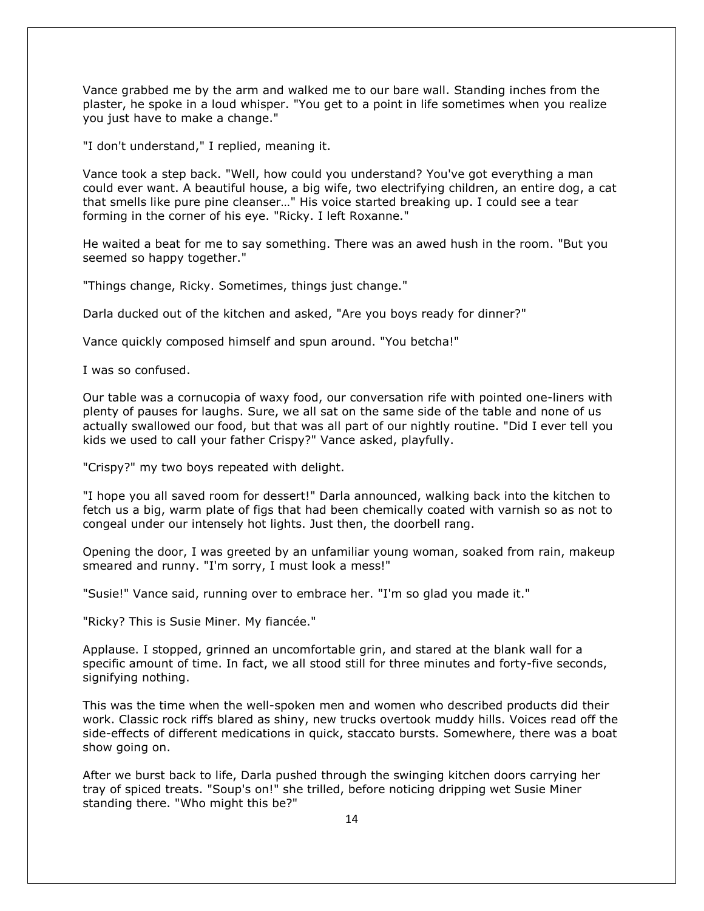Vance grabbed me by the arm and walked me to our bare wall. Standing inches from the plaster, he spoke in a loud whisper. "You get to a point in life sometimes when you realize you just have to make a change."

"I don't understand," I replied, meaning it.

Vance took a step back. "Well, how could you understand? You've got everything a man could ever want. A beautiful house, a big wife, two electrifying children, an entire dog, a cat that smells like pure pine cleanser…" His voice started breaking up. I could see a tear forming in the corner of his eye. "Ricky. I left Roxanne."

He waited a beat for me to say something. There was an awed hush in the room. "But you seemed so happy together."

"Things change, Ricky. Sometimes, things just change."

Darla ducked out of the kitchen and asked, "Are you boys ready for dinner?"

Vance quickly composed himself and spun around. "You betcha!"

I was so confused.

Our table was a cornucopia of waxy food, our conversation rife with pointed one-liners with plenty of pauses for laughs. Sure, we all sat on the same side of the table and none of us actually swallowed our food, but that was all part of our nightly routine. "Did I ever tell you kids we used to call your father Crispy?" Vance asked, playfully.

"Crispy?" my two boys repeated with delight.

"I hope you all saved room for dessert!" Darla announced, walking back into the kitchen to fetch us a big, warm plate of figs that had been chemically coated with varnish so as not to congeal under our intensely hot lights. Just then, the doorbell rang.

Opening the door, I was greeted by an unfamiliar young woman, soaked from rain, makeup smeared and runny. "I'm sorry, I must look a mess!"

"Susie!" Vance said, running over to embrace her. "I'm so glad you made it."

"Ricky? This is Susie Miner. My fiancée."

Applause. I stopped, grinned an uncomfortable grin, and stared at the blank wall for a specific amount of time. In fact, we all stood still for three minutes and forty-five seconds, signifying nothing.

This was the time when the well-spoken men and women who described products did their work. Classic rock riffs blared as shiny, new trucks overtook muddy hills. Voices read off the side-effects of different medications in quick, staccato bursts. Somewhere, there was a boat show going on.

After we burst back to life, Darla pushed through the swinging kitchen doors carrying her tray of spiced treats. "Soup's on!" she trilled, before noticing dripping wet Susie Miner standing there. "Who might this be?"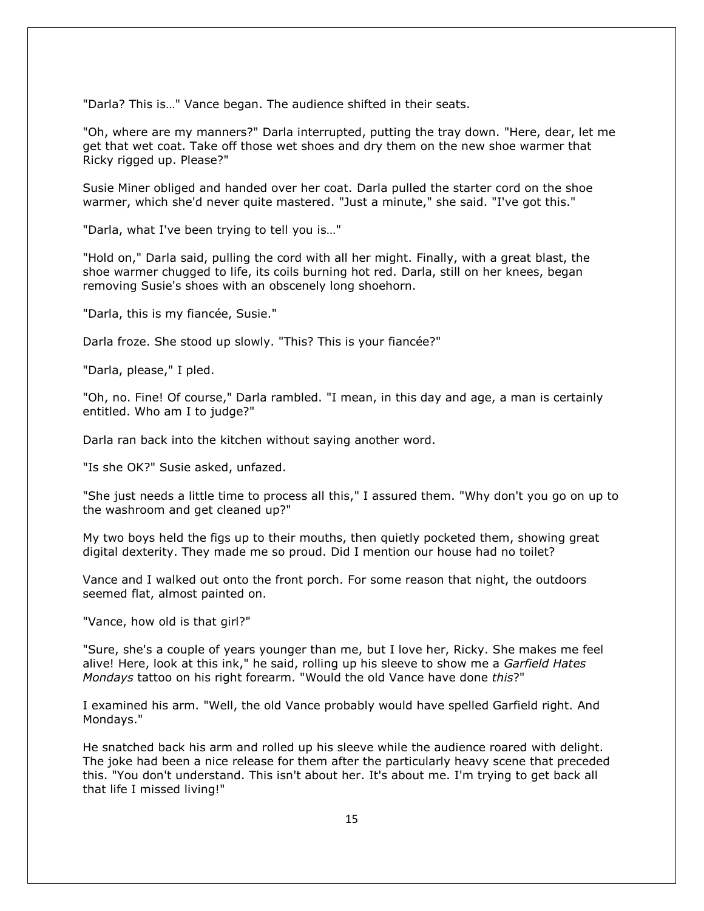"Darla? This is…" Vance began. The audience shifted in their seats.

"Oh, where are my manners?" Darla interrupted, putting the tray down. "Here, dear, let me get that wet coat. Take off those wet shoes and dry them on the new shoe warmer that Ricky rigged up. Please?"

Susie Miner obliged and handed over her coat. Darla pulled the starter cord on the shoe warmer, which she'd never quite mastered. "Just a minute," she said. "I've got this."

"Darla, what I've been trying to tell you is…"

"Hold on," Darla said, pulling the cord with all her might. Finally, with a great blast, the shoe warmer chugged to life, its coils burning hot red. Darla, still on her knees, began removing Susie's shoes with an obscenely long shoehorn.

"Darla, this is my fiancée, Susie."

Darla froze. She stood up slowly. "This? This is your fiancée?"

"Darla, please," I pled.

"Oh, no. Fine! Of course," Darla rambled. "I mean, in this day and age, a man is certainly entitled. Who am I to judge?"

Darla ran back into the kitchen without saying another word.

"Is she OK?" Susie asked, unfazed.

"She just needs a little time to process all this," I assured them. "Why don't you go on up to the washroom and get cleaned up?"

My two boys held the figs up to their mouths, then quietly pocketed them, showing great digital dexterity. They made me so proud. Did I mention our house had no toilet?

Vance and I walked out onto the front porch. For some reason that night, the outdoors seemed flat, almost painted on.

"Vance, how old is that girl?"

"Sure, she's a couple of years younger than me, but I love her, Ricky. She makes me feel alive! Here, look at this ink," he said, rolling up his sleeve to show me a *Garfield Hates Mondays* tattoo on his right forearm. "Would the old Vance have done *this*?"

I examined his arm. "Well, the old Vance probably would have spelled Garfield right. And Mondays."

He snatched back his arm and rolled up his sleeve while the audience roared with delight. The joke had been a nice release for them after the particularly heavy scene that preceded this. "You don't understand. This isn't about her. It's about me. I'm trying to get back all that life I missed living!"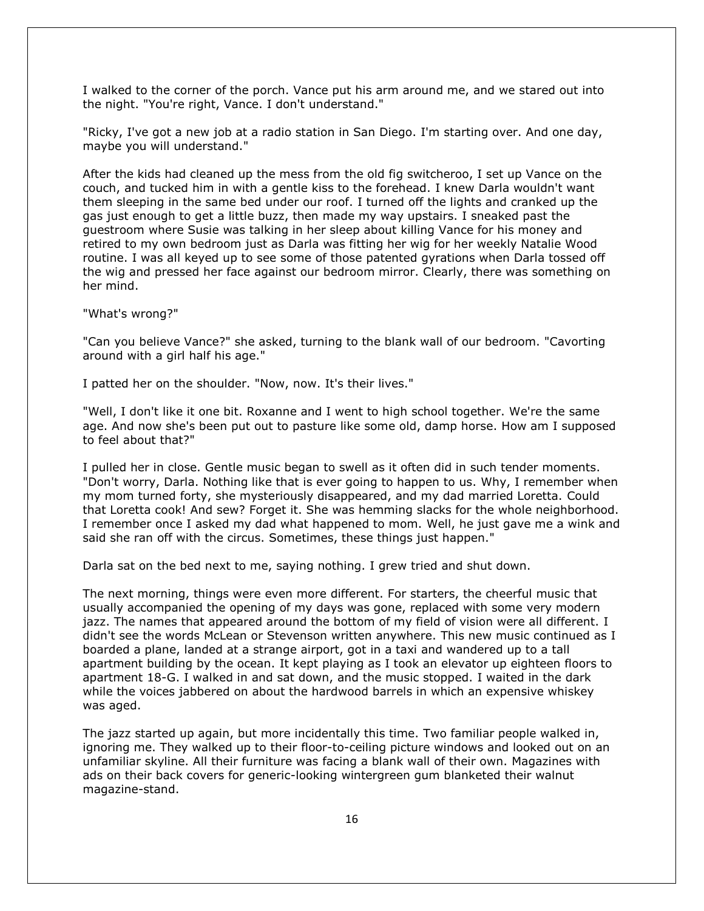I walked to the corner of the porch. Vance put his arm around me, and we stared out into the night. "You're right, Vance. I don't understand."

"Ricky, I've got a new job at a radio station in San Diego. I'm starting over. And one day, maybe you will understand."

After the kids had cleaned up the mess from the old fig switcheroo, I set up Vance on the couch, and tucked him in with a gentle kiss to the forehead. I knew Darla wouldn't want them sleeping in the same bed under our roof. I turned off the lights and cranked up the gas just enough to get a little buzz, then made my way upstairs. I sneaked past the guestroom where Susie was talking in her sleep about killing Vance for his money and retired to my own bedroom just as Darla was fitting her wig for her weekly Natalie Wood routine. I was all keyed up to see some of those patented gyrations when Darla tossed off the wig and pressed her face against our bedroom mirror. Clearly, there was something on her mind.

"What's wrong?"

"Can you believe Vance?" she asked, turning to the blank wall of our bedroom. "Cavorting around with a girl half his age."

I patted her on the shoulder. "Now, now. It's their lives."

"Well, I don't like it one bit. Roxanne and I went to high school together. We're the same age. And now she's been put out to pasture like some old, damp horse. How am I supposed to feel about that?"

I pulled her in close. Gentle music began to swell as it often did in such tender moments. "Don't worry, Darla. Nothing like that is ever going to happen to us. Why, I remember when my mom turned forty, she mysteriously disappeared, and my dad married Loretta. Could that Loretta cook! And sew? Forget it. She was hemming slacks for the whole neighborhood. I remember once I asked my dad what happened to mom. Well, he just gave me a wink and said she ran off with the circus. Sometimes, these things just happen."

Darla sat on the bed next to me, saying nothing. I grew tried and shut down.

The next morning, things were even more different. For starters, the cheerful music that usually accompanied the opening of my days was gone, replaced with some very modern jazz. The names that appeared around the bottom of my field of vision were all different. I didn't see the words McLean or Stevenson written anywhere. This new music continued as I boarded a plane, landed at a strange airport, got in a taxi and wandered up to a tall apartment building by the ocean. It kept playing as I took an elevator up eighteen floors to apartment 18-G. I walked in and sat down, and the music stopped. I waited in the dark while the voices jabbered on about the hardwood barrels in which an expensive whiskey was aged.

The jazz started up again, but more incidentally this time. Two familiar people walked in, ignoring me. They walked up to their floor-to-ceiling picture windows and looked out on an unfamiliar skyline. All their furniture was facing a blank wall of their own. Magazines with ads on their back covers for generic-looking wintergreen gum blanketed their walnut magazine-stand.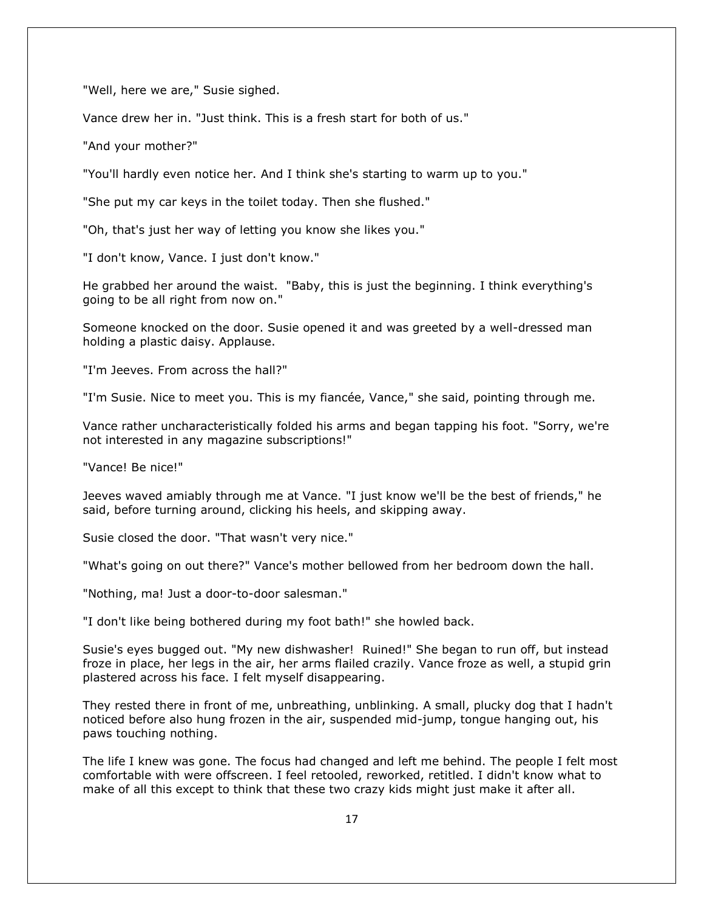"Well, here we are," Susie sighed.

Vance drew her in. "Just think. This is a fresh start for both of us."

"And your mother?"

"You'll hardly even notice her. And I think she's starting to warm up to you."

"She put my car keys in the toilet today. Then she flushed."

"Oh, that's just her way of letting you know she likes you."

"I don't know, Vance. I just don't know."

He grabbed her around the waist. "Baby, this is just the beginning. I think everything's going to be all right from now on."

Someone knocked on the door. Susie opened it and was greeted by a well-dressed man holding a plastic daisy. Applause.

"I'm Jeeves. From across the hall?"

"I'm Susie. Nice to meet you. This is my fiancée, Vance," she said, pointing through me.

Vance rather uncharacteristically folded his arms and began tapping his foot. "Sorry, we're not interested in any magazine subscriptions!"

"Vance! Be nice!"

Jeeves waved amiably through me at Vance. "I just know we'll be the best of friends," he said, before turning around, clicking his heels, and skipping away.

Susie closed the door. "That wasn't very nice."

"What's going on out there?" Vance's mother bellowed from her bedroom down the hall.

"Nothing, ma! Just a door-to-door salesman."

"I don't like being bothered during my foot bath!" she howled back.

Susie's eyes bugged out. "My new dishwasher! Ruined!" She began to run off, but instead froze in place, her legs in the air, her arms flailed crazily. Vance froze as well, a stupid grin plastered across his face. I felt myself disappearing.

They rested there in front of me, unbreathing, unblinking. A small, plucky dog that I hadn't noticed before also hung frozen in the air, suspended mid-jump, tongue hanging out, his paws touching nothing.

The life I knew was gone. The focus had changed and left me behind. The people I felt most comfortable with were offscreen. I feel retooled, reworked, retitled. I didn't know what to make of all this except to think that these two crazy kids might just make it after all.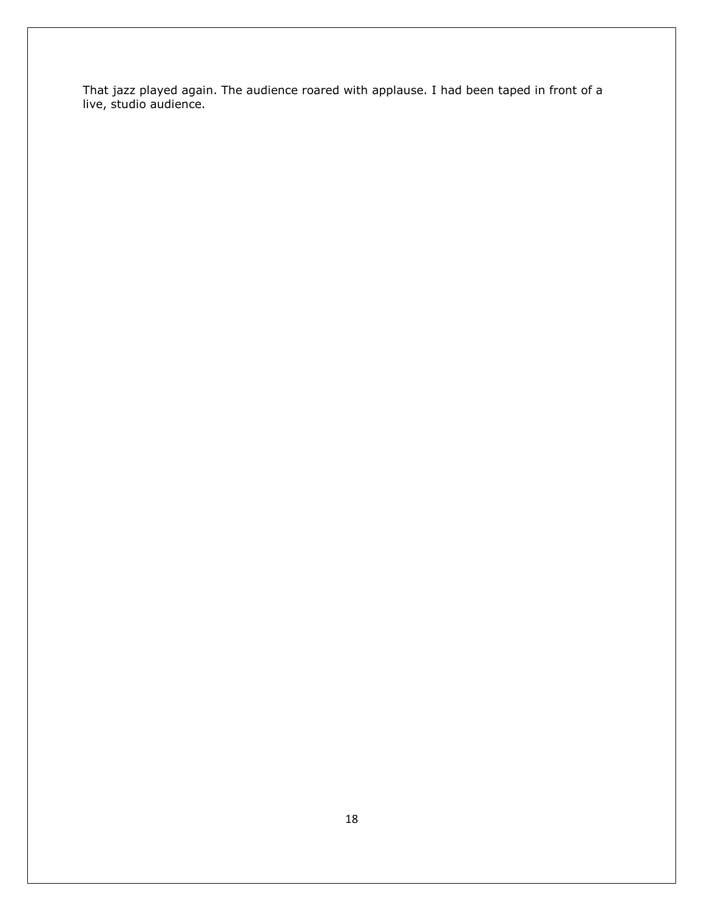That jazz played again. The audience roared with applause. I had been taped in front of a live, studio audience.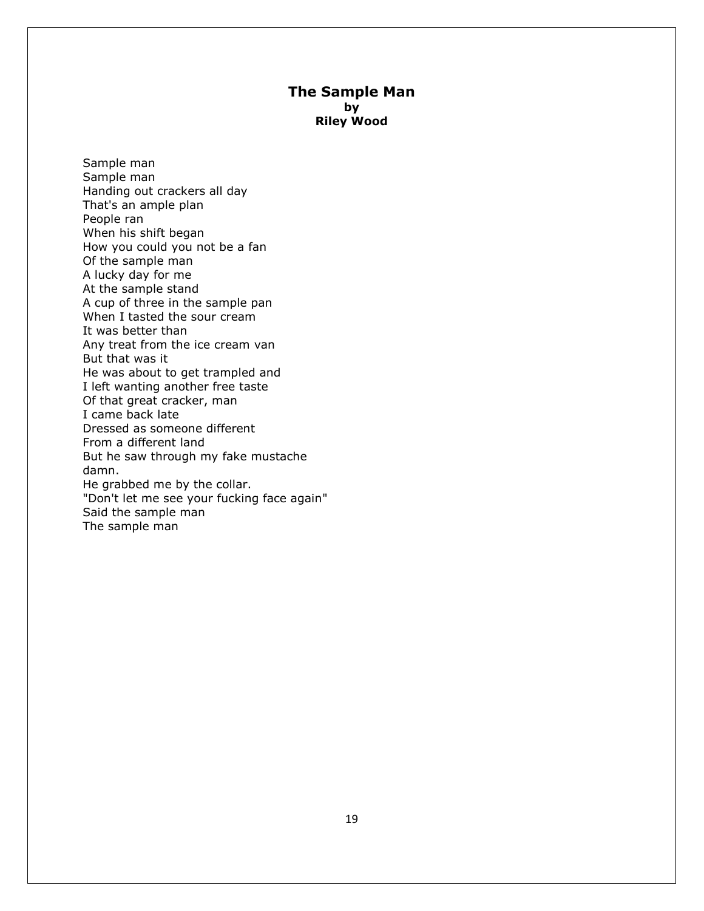#### **The Sample Man by Riley Wood**

Sample man Sample man Handing out crackers all day That's an ample plan People ran When his shift began How you could you not be a fan Of the sample man A lucky day for me At the sample stand A cup of three in the sample pan When I tasted the sour cream It was better than Any treat from the ice cream van But that was it He was about to get trampled and I left wanting another free taste Of that great cracker, man I came back late Dressed as someone different From a different land But he saw through my fake mustache damn. He grabbed me by the collar. "Don't let me see your fucking face again" Said the sample man The sample man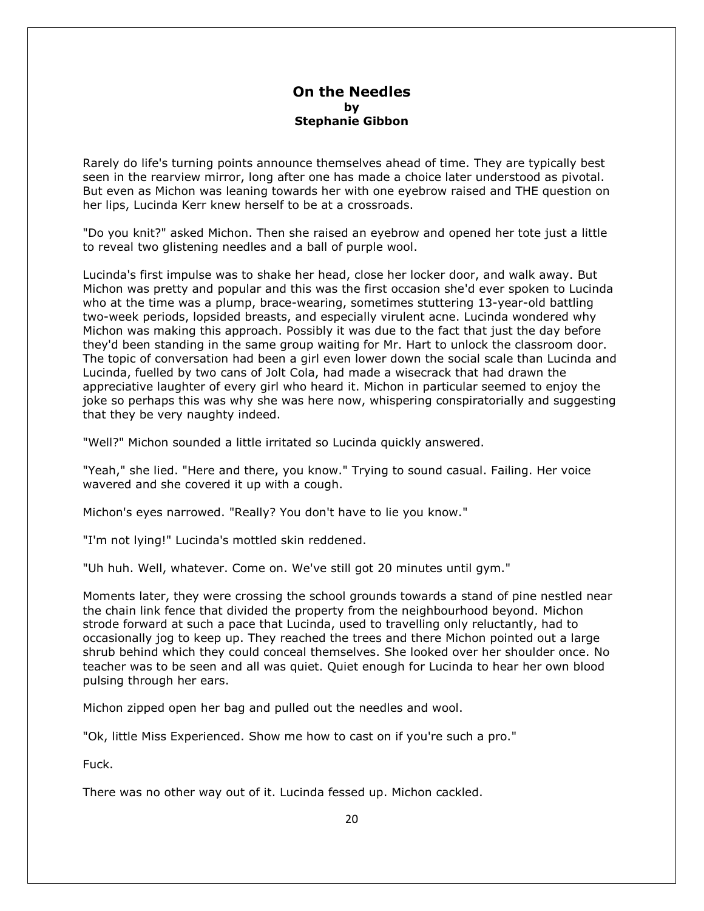#### **On the Needles by Stephanie Gibbon**

Rarely do life's turning points announce themselves ahead of time. They are typically best seen in the rearview mirror, long after one has made a choice later understood as pivotal. But even as Michon was leaning towards her with one eyebrow raised and THE question on her lips, Lucinda Kerr knew herself to be at a crossroads.

"Do you knit?" asked Michon. Then she raised an eyebrow and opened her tote just a little to reveal two glistening needles and a ball of purple wool.

Lucinda's first impulse was to shake her head, close her locker door, and walk away. But Michon was pretty and popular and this was the first occasion she'd ever spoken to Lucinda who at the time was a plump, brace-wearing, sometimes stuttering 13-year-old battling two-week periods, lopsided breasts, and especially virulent acne. Lucinda wondered why Michon was making this approach. Possibly it was due to the fact that just the day before they'd been standing in the same group waiting for Mr. Hart to unlock the classroom door. The topic of conversation had been a girl even lower down the social scale than Lucinda and Lucinda, fuelled by two cans of Jolt Cola, had made a wisecrack that had drawn the appreciative laughter of every girl who heard it. Michon in particular seemed to enjoy the joke so perhaps this was why she was here now, whispering conspiratorially and suggesting that they be very naughty indeed.

"Well?" Michon sounded a little irritated so Lucinda quickly answered.

"Yeah," she lied. "Here and there, you know." Trying to sound casual. Failing. Her voice wavered and she covered it up with a cough.

Michon's eyes narrowed. "Really? You don't have to lie you know."

"I'm not lying!" Lucinda's mottled skin reddened.

"Uh huh. Well, whatever. Come on. We've still got 20 minutes until gym."

Moments later, they were crossing the school grounds towards a stand of pine nestled near the chain link fence that divided the property from the neighbourhood beyond. Michon strode forward at such a pace that Lucinda, used to travelling only reluctantly, had to occasionally jog to keep up. They reached the trees and there Michon pointed out a large shrub behind which they could conceal themselves. She looked over her shoulder once. No teacher was to be seen and all was quiet. Quiet enough for Lucinda to hear her own blood pulsing through her ears.

Michon zipped open her bag and pulled out the needles and wool.

"Ok, little Miss Experienced. Show me how to cast on if you're such a pro."

Fuck.

There was no other way out of it. Lucinda fessed up. Michon cackled.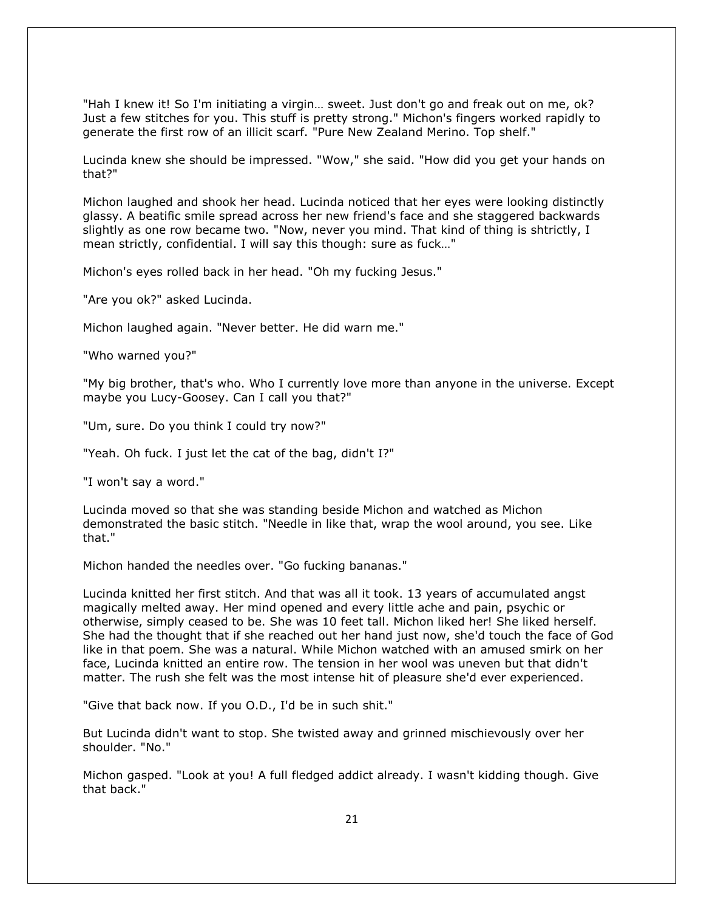"Hah I knew it! So I'm initiating a virgin… sweet. Just don't go and freak out on me, ok? Just a few stitches for you. This stuff is pretty strong." Michon's fingers worked rapidly to generate the first row of an illicit scarf. "Pure New Zealand Merino. Top shelf."

Lucinda knew she should be impressed. "Wow," she said. "How did you get your hands on that?"

Michon laughed and shook her head. Lucinda noticed that her eyes were looking distinctly glassy. A beatific smile spread across her new friend's face and she staggered backwards slightly as one row became two. "Now, never you mind. That kind of thing is shtrictly, I mean strictly, confidential. I will say this though: sure as fuck…"

Michon's eyes rolled back in her head. "Oh my fucking Jesus."

"Are you ok?" asked Lucinda.

Michon laughed again. "Never better. He did warn me."

"Who warned you?"

"My big brother, that's who. Who I currently love more than anyone in the universe. Except maybe you Lucy-Goosey. Can I call you that?"

"Um, sure. Do you think I could try now?"

"Yeah. Oh fuck. I just let the cat of the bag, didn't I?"

"I won't say a word."

Lucinda moved so that she was standing beside Michon and watched as Michon demonstrated the basic stitch. "Needle in like that, wrap the wool around, you see. Like that."

Michon handed the needles over. "Go fucking bananas."

Lucinda knitted her first stitch. And that was all it took. 13 years of accumulated angst magically melted away. Her mind opened and every little ache and pain, psychic or otherwise, simply ceased to be. She was 10 feet tall. Michon liked her! She liked herself. She had the thought that if she reached out her hand just now, she'd touch the face of God like in that poem. She was a natural. While Michon watched with an amused smirk on her face, Lucinda knitted an entire row. The tension in her wool was uneven but that didn't matter. The rush she felt was the most intense hit of pleasure she'd ever experienced.

"Give that back now. If you O.D., I'd be in such shit."

But Lucinda didn't want to stop. She twisted away and grinned mischievously over her shoulder. "No."

Michon gasped. "Look at you! A full fledged addict already. I wasn't kidding though. Give that back."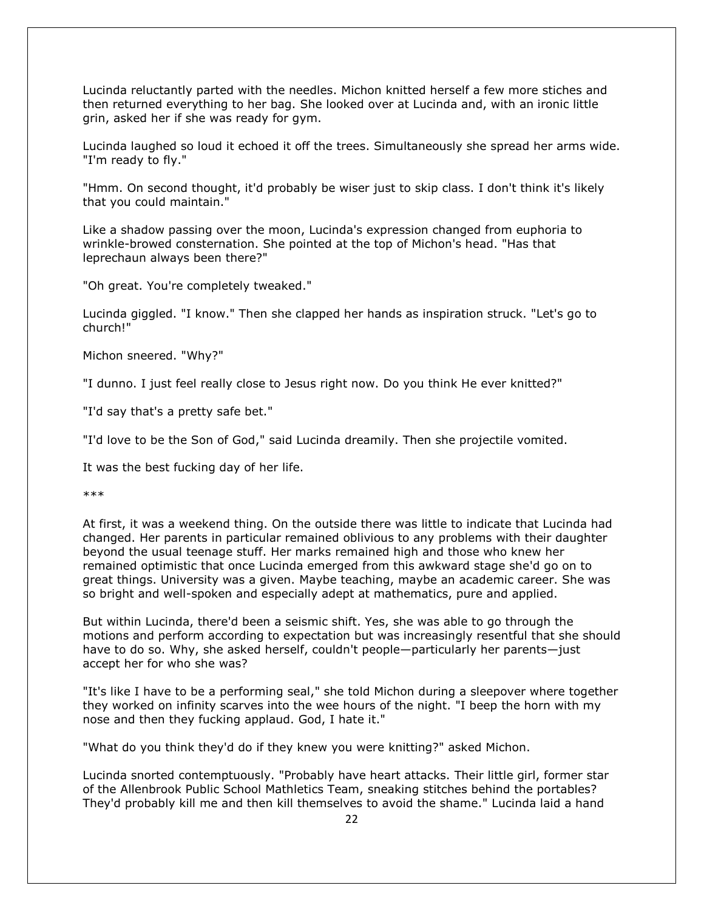Lucinda reluctantly parted with the needles. Michon knitted herself a few more stiches and then returned everything to her bag. She looked over at Lucinda and, with an ironic little grin, asked her if she was ready for gym.

Lucinda laughed so loud it echoed it off the trees. Simultaneously she spread her arms wide. "I'm ready to fly."

"Hmm. On second thought, it'd probably be wiser just to skip class. I don't think it's likely that you could maintain."

Like a shadow passing over the moon, Lucinda's expression changed from euphoria to wrinkle-browed consternation. She pointed at the top of Michon's head. "Has that leprechaun always been there?"

"Oh great. You're completely tweaked."

Lucinda giggled. "I know." Then she clapped her hands as inspiration struck. "Let's go to church!"

Michon sneered. "Why?"

"I dunno. I just feel really close to Jesus right now. Do you think He ever knitted?"

"I'd say that's a pretty safe bet."

"I'd love to be the Son of God," said Lucinda dreamily. Then she projectile vomited.

It was the best fucking day of her life.

\*\*\*

At first, it was a weekend thing. On the outside there was little to indicate that Lucinda had changed. Her parents in particular remained oblivious to any problems with their daughter beyond the usual teenage stuff. Her marks remained high and those who knew her remained optimistic that once Lucinda emerged from this awkward stage she'd go on to great things. University was a given. Maybe teaching, maybe an academic career. She was so bright and well-spoken and especially adept at mathematics, pure and applied.

But within Lucinda, there'd been a seismic shift. Yes, she was able to go through the motions and perform according to expectation but was increasingly resentful that she should have to do so. Why, she asked herself, couldn't people—particularly her parents—just accept her for who she was?

"It's like I have to be a performing seal," she told Michon during a sleepover where together they worked on infinity scarves into the wee hours of the night. "I beep the horn with my nose and then they fucking applaud. God, I hate it."

"What do you think they'd do if they knew you were knitting?" asked Michon.

Lucinda snorted contemptuously. "Probably have heart attacks. Their little girl, former star of the Allenbrook Public School Mathletics Team, sneaking stitches behind the portables? They'd probably kill me and then kill themselves to avoid the shame." Lucinda laid a hand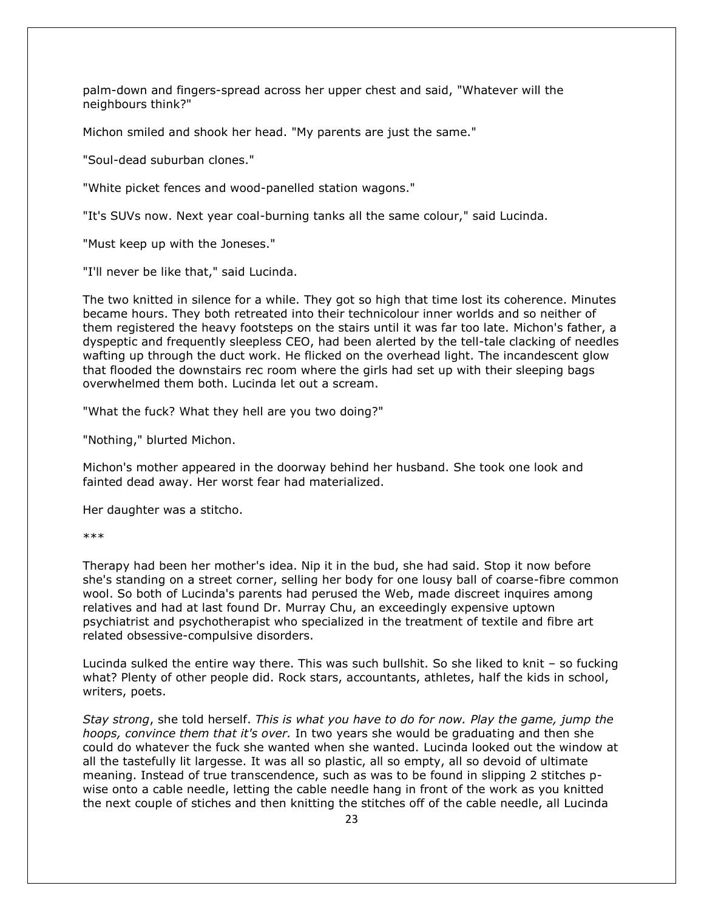palm-down and fingers-spread across her upper chest and said, "Whatever will the neighbours think?"

Michon smiled and shook her head. "My parents are just the same."

"Soul-dead suburban clones."

"White picket fences and wood-panelled station wagons."

"It's SUVs now. Next year coal-burning tanks all the same colour," said Lucinda.

"Must keep up with the Joneses."

"I'll never be like that," said Lucinda.

The two knitted in silence for a while. They got so high that time lost its coherence. Minutes became hours. They both retreated into their technicolour inner worlds and so neither of them registered the heavy footsteps on the stairs until it was far too late. Michon's father, a dyspeptic and frequently sleepless CEO, had been alerted by the tell-tale clacking of needles wafting up through the duct work. He flicked on the overhead light. The incandescent glow that flooded the downstairs rec room where the girls had set up with their sleeping bags overwhelmed them both. Lucinda let out a scream.

"What the fuck? What they hell are you two doing?"

"Nothing," blurted Michon.

Michon's mother appeared in the doorway behind her husband. She took one look and fainted dead away. Her worst fear had materialized.

Her daughter was a stitcho.

\*\*\*

Therapy had been her mother's idea. Nip it in the bud, she had said. Stop it now before she's standing on a street corner, selling her body for one lousy ball of coarse-fibre common wool. So both of Lucinda's parents had perused the Web, made discreet inquires among relatives and had at last found Dr. Murray Chu, an exceedingly expensive uptown psychiatrist and psychotherapist who specialized in the treatment of textile and fibre art related obsessive-compulsive disorders.

Lucinda sulked the entire way there. This was such bullshit. So she liked to knit – so fucking what? Plenty of other people did. Rock stars, accountants, athletes, half the kids in school, writers, poets.

*Stay strong*, she told herself. *This is what you have to do for now. Play the game, jump the hoops, convince them that it's over.* In two years she would be graduating and then she could do whatever the fuck she wanted when she wanted. Lucinda looked out the window at all the tastefully lit largesse. It was all so plastic, all so empty, all so devoid of ultimate meaning. Instead of true transcendence, such as was to be found in slipping 2 stitches pwise onto a cable needle, letting the cable needle hang in front of the work as you knitted the next couple of stiches and then knitting the stitches off of the cable needle, all Lucinda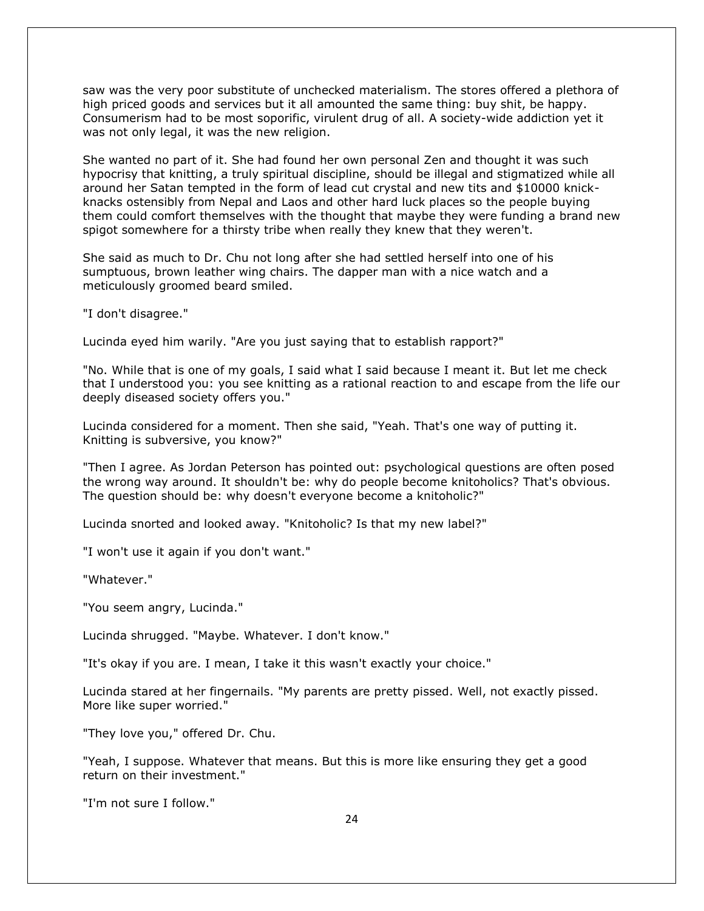saw was the very poor substitute of unchecked materialism. The stores offered a plethora of high priced goods and services but it all amounted the same thing: buy shit, be happy. Consumerism had to be most soporific, virulent drug of all. A society-wide addiction yet it was not only legal, it was the new religion.

She wanted no part of it. She had found her own personal Zen and thought it was such hypocrisy that knitting, a truly spiritual discipline, should be illegal and stigmatized while all around her Satan tempted in the form of lead cut crystal and new tits and \$10000 knickknacks ostensibly from Nepal and Laos and other hard luck places so the people buying them could comfort themselves with the thought that maybe they were funding a brand new spigot somewhere for a thirsty tribe when really they knew that they weren't.

She said as much to Dr. Chu not long after she had settled herself into one of his sumptuous, brown leather wing chairs. The dapper man with a nice watch and a meticulously groomed beard smiled.

"I don't disagree."

Lucinda eyed him warily. "Are you just saying that to establish rapport?"

"No. While that is one of my goals, I said what I said because I meant it. But let me check that I understood you: you see knitting as a rational reaction to and escape from the life our deeply diseased society offers you."

Lucinda considered for a moment. Then she said, "Yeah. That's one way of putting it. Knitting is subversive, you know?"

"Then I agree. As Jordan Peterson has pointed out: psychological questions are often posed the wrong way around. It shouldn't be: why do people become knitoholics? That's obvious. The question should be: why doesn't everyone become a knitoholic?"

Lucinda snorted and looked away. "Knitoholic? Is that my new label?"

"I won't use it again if you don't want."

"Whatever."

"You seem angry, Lucinda."

Lucinda shrugged. "Maybe. Whatever. I don't know."

"It's okay if you are. I mean, I take it this wasn't exactly your choice."

Lucinda stared at her fingernails. "My parents are pretty pissed. Well, not exactly pissed. More like super worried."

"They love you," offered Dr. Chu.

"Yeah, I suppose. Whatever that means. But this is more like ensuring they get a good return on their investment."

"I'm not sure I follow."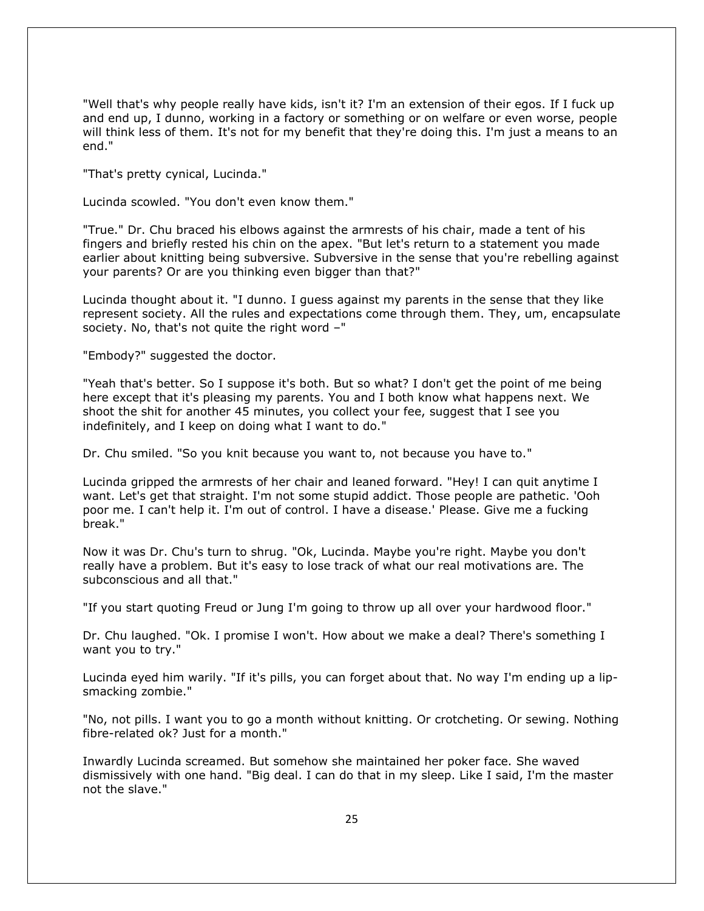"Well that's why people really have kids, isn't it? I'm an extension of their egos. If I fuck up and end up, I dunno, working in a factory or something or on welfare or even worse, people will think less of them. It's not for my benefit that they're doing this. I'm just a means to an end."

"That's pretty cynical, Lucinda."

Lucinda scowled. "You don't even know them."

"True." Dr. Chu braced his elbows against the armrests of his chair, made a tent of his fingers and briefly rested his chin on the apex. "But let's return to a statement you made earlier about knitting being subversive. Subversive in the sense that you're rebelling against your parents? Or are you thinking even bigger than that?"

Lucinda thought about it. "I dunno. I guess against my parents in the sense that they like represent society. All the rules and expectations come through them. They, um, encapsulate society. No, that's not quite the right word –"

"Embody?" suggested the doctor.

"Yeah that's better. So I suppose it's both. But so what? I don't get the point of me being here except that it's pleasing my parents. You and I both know what happens next. We shoot the shit for another 45 minutes, you collect your fee, suggest that I see you indefinitely, and I keep on doing what I want to do."

Dr. Chu smiled. "So you knit because you want to, not because you have to."

Lucinda gripped the armrests of her chair and leaned forward. "Hey! I can quit anytime I want. Let's get that straight. I'm not some stupid addict. Those people are pathetic. 'Ooh poor me. I can't help it. I'm out of control. I have a disease.' Please. Give me a fucking break."

Now it was Dr. Chu's turn to shrug. "Ok, Lucinda. Maybe you're right. Maybe you don't really have a problem. But it's easy to lose track of what our real motivations are. The subconscious and all that."

"If you start quoting Freud or Jung I'm going to throw up all over your hardwood floor."

Dr. Chu laughed. "Ok. I promise I won't. How about we make a deal? There's something I want you to try."

Lucinda eyed him warily. "If it's pills, you can forget about that. No way I'm ending up a lipsmacking zombie."

"No, not pills. I want you to go a month without knitting. Or crotcheting. Or sewing. Nothing fibre-related ok? Just for a month."

Inwardly Lucinda screamed. But somehow she maintained her poker face. She waved dismissively with one hand. "Big deal. I can do that in my sleep. Like I said, I'm the master not the slave."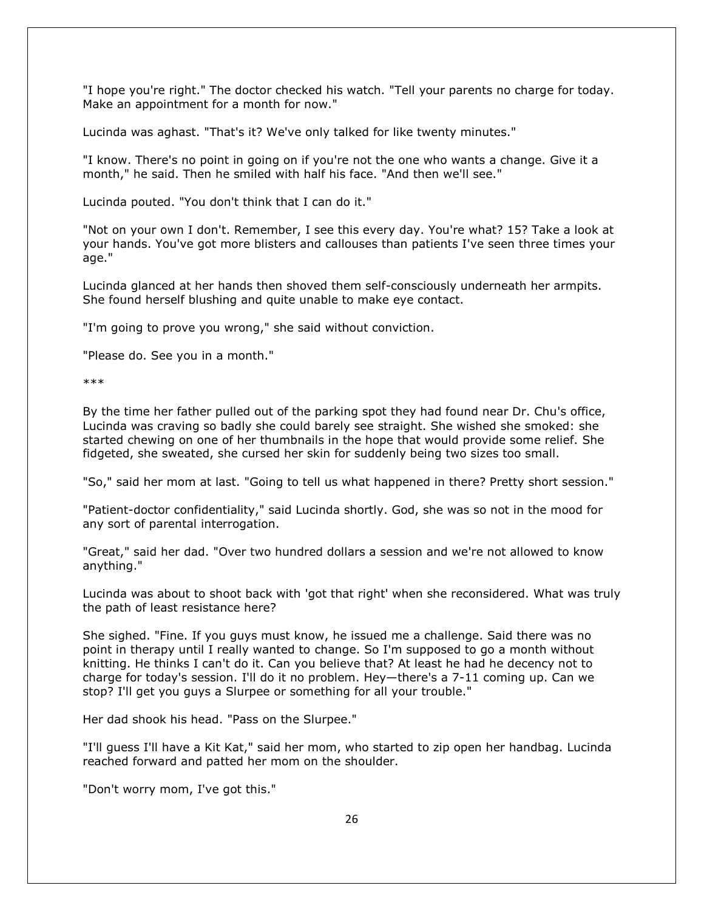"I hope you're right." The doctor checked his watch. "Tell your parents no charge for today. Make an appointment for a month for now."

Lucinda was aghast. "That's it? We've only talked for like twenty minutes."

"I know. There's no point in going on if you're not the one who wants a change. Give it a month," he said. Then he smiled with half his face. "And then we'll see."

Lucinda pouted. "You don't think that I can do it."

"Not on your own I don't. Remember, I see this every day. You're what? 15? Take a look at your hands. You've got more blisters and callouses than patients I've seen three times your age."

Lucinda glanced at her hands then shoved them self-consciously underneath her armpits. She found herself blushing and quite unable to make eye contact.

"I'm going to prove you wrong," she said without conviction.

"Please do. See you in a month."

\*\*\*

By the time her father pulled out of the parking spot they had found near Dr. Chu's office, Lucinda was craving so badly she could barely see straight. She wished she smoked: she started chewing on one of her thumbnails in the hope that would provide some relief. She fidgeted, she sweated, she cursed her skin for suddenly being two sizes too small.

"So," said her mom at last. "Going to tell us what happened in there? Pretty short session."

"Patient-doctor confidentiality," said Lucinda shortly. God, she was so not in the mood for any sort of parental interrogation.

"Great," said her dad. "Over two hundred dollars a session and we're not allowed to know anything."

Lucinda was about to shoot back with 'got that right' when she reconsidered. What was truly the path of least resistance here?

She sighed. "Fine. If you guys must know, he issued me a challenge. Said there was no point in therapy until I really wanted to change. So I'm supposed to go a month without knitting. He thinks I can't do it. Can you believe that? At least he had he decency not to charge for today's session. I'll do it no problem. Hey—there's a 7-11 coming up. Can we stop? I'll get you guys a Slurpee or something for all your trouble."

Her dad shook his head. "Pass on the Slurpee."

"I'll guess I'll have a Kit Kat," said her mom, who started to zip open her handbag. Lucinda reached forward and patted her mom on the shoulder.

"Don't worry mom, I've got this."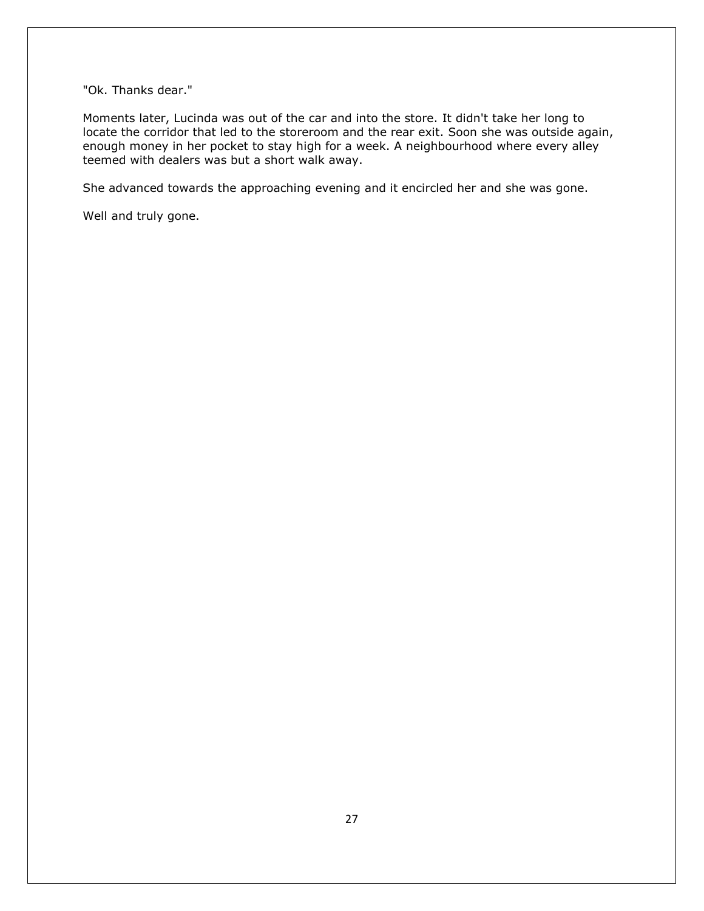"Ok. Thanks dear."

Moments later, Lucinda was out of the car and into the store. It didn't take her long to locate the corridor that led to the storeroom and the rear exit. Soon she was outside again, enough money in her pocket to stay high for a week. A neighbourhood where every alley teemed with dealers was but a short walk away.

She advanced towards the approaching evening and it encircled her and she was gone.

Well and truly gone.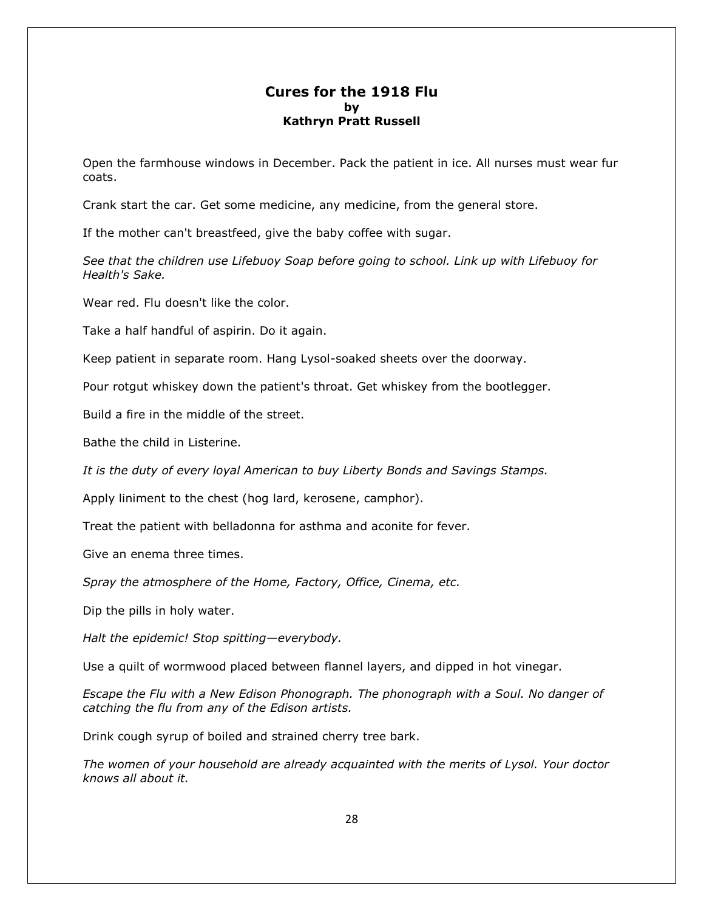#### **Cures for the 1918 Flu by Kathryn Pratt Russell**

Open the farmhouse windows in December. Pack the patient in ice. All nurses must wear fur coats.

Crank start the car. Get some medicine, any medicine, from the general store.

If the mother can't breastfeed, give the baby coffee with sugar.

*See that the children use Lifebuoy Soap before going to school. Link up with Lifebuoy for Health's Sake.*

Wear red. Flu doesn't like the color.

Take a half handful of aspirin. Do it again.

Keep patient in separate room. Hang Lysol-soaked sheets over the doorway.

Pour rotgut whiskey down the patient's throat. Get whiskey from the bootlegger.

Build a fire in the middle of the street.

Bathe the child in Listerine.

*It is the duty of every loyal American to buy Liberty Bonds and Savings Stamps.*

Apply liniment to the chest (hog lard, kerosene, camphor).

Treat the patient with belladonna for asthma and aconite for fever.

Give an enema three times.

*Spray the atmosphere of the Home, Factory, Office, Cinema, etc.*

Dip the pills in holy water.

*Halt the epidemic! Stop spitting—everybody.*

Use a quilt of wormwood placed between flannel layers, and dipped in hot vinegar.

*Escape the Flu with a New Edison Phonograph. The phonograph with a Soul. No danger of catching the flu from any of the Edison artists.*

Drink cough syrup of boiled and strained cherry tree bark.

*The women of your household are already acquainted with the merits of Lysol. Your doctor knows all about it.*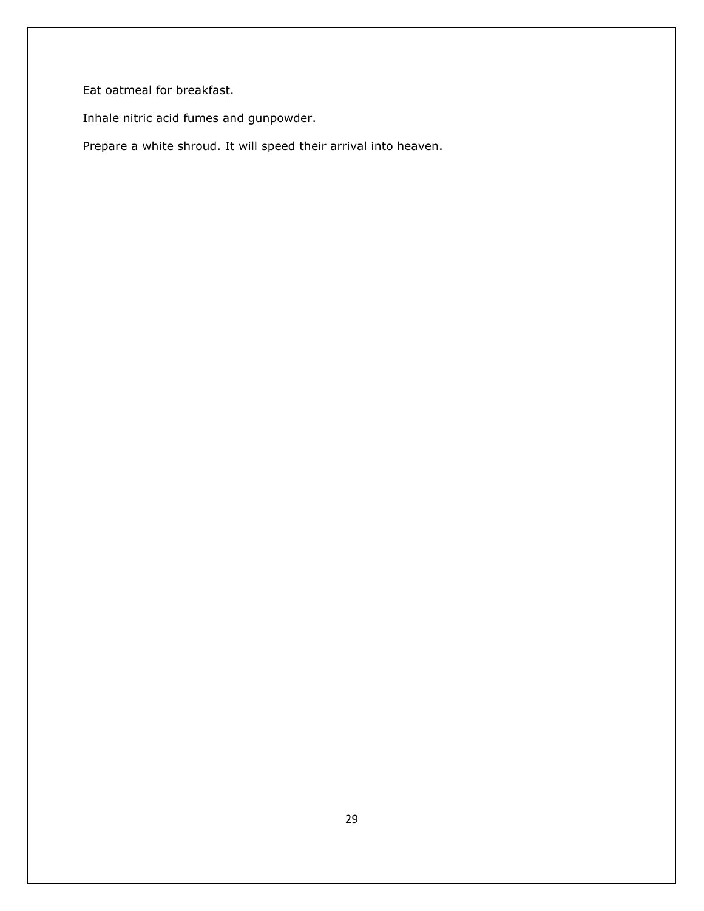Eat oatmeal for breakfast.

Inhale nitric acid fumes and gunpowder.

Prepare a white shroud. It will speed their arrival into heaven.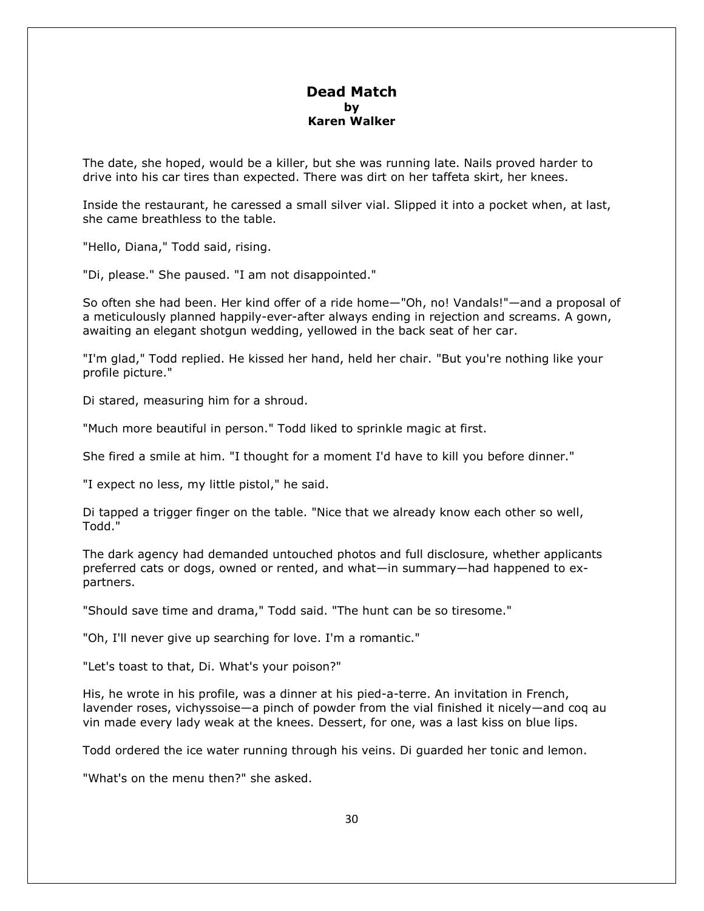#### **Dead Match by Karen Walker**

The date, she hoped, would be a killer, but she was running late. Nails proved harder to drive into his car tires than expected. There was dirt on her taffeta skirt, her knees.

Inside the restaurant, he caressed a small silver vial. Slipped it into a pocket when, at last, she came breathless to the table.

"Hello, Diana," Todd said, rising.

"Di, please." She paused. "I am not disappointed."

So often she had been. Her kind offer of a ride home—"Oh, no! Vandals!"—and a proposal of a meticulously planned happily-ever-after always ending in rejection and screams. A gown, awaiting an elegant shotgun wedding, yellowed in the back seat of her car.

"I'm glad," Todd replied. He kissed her hand, held her chair. "But you're nothing like your profile picture."

Di stared, measuring him for a shroud.

"Much more beautiful in person." Todd liked to sprinkle magic at first.

She fired a smile at him. "I thought for a moment I'd have to kill you before dinner."

"I expect no less, my little pistol," he said.

Di tapped a trigger finger on the table. "Nice that we already know each other so well, Todd."

The dark agency had demanded untouched photos and full disclosure, whether applicants preferred cats or dogs, owned or rented, and what—in summary—had happened to expartners.

"Should save time and drama," Todd said. "The hunt can be so tiresome."

"Oh, I'll never give up searching for love. I'm a romantic."

"Let's toast to that, Di. What's your poison?"

His, he wrote in his profile, was a dinner at his pied-a-terre. An invitation in French, lavender roses, vichyssoise—a pinch of powder from the vial finished it nicely—and coq au vin made every lady weak at the knees. Dessert, for one, was a last kiss on blue lips.

Todd ordered the ice water running through his veins. Di guarded her tonic and lemon.

"What's on the menu then?" she asked.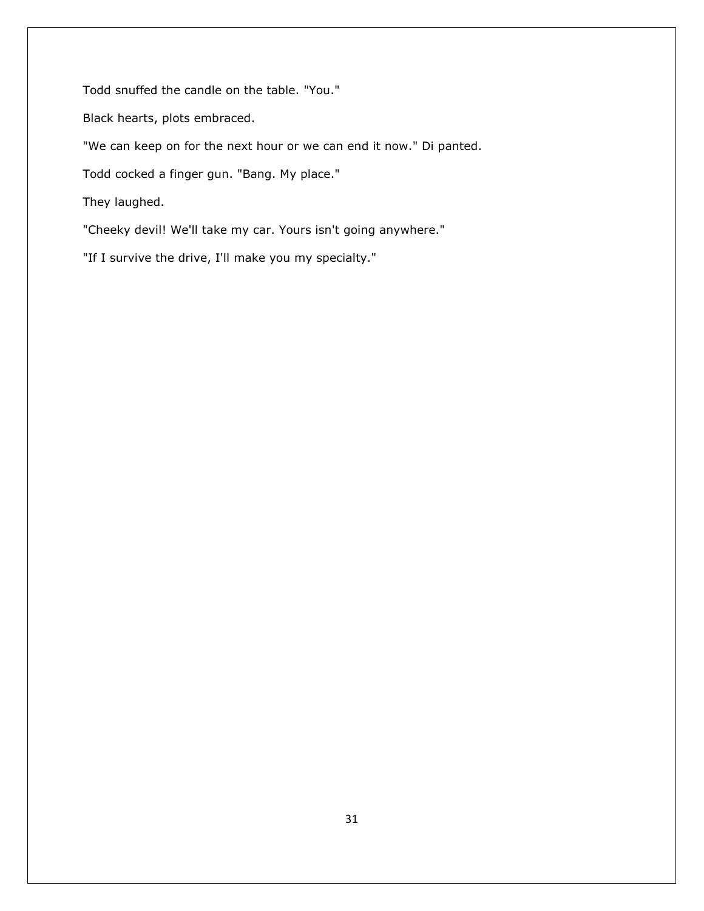Todd snuffed the candle on the table. "You."

Black hearts, plots embraced.

"We can keep on for the next hour or we can end it now." Di panted.

Todd cocked a finger gun. "Bang. My place."

They laughed.

"Cheeky devil! We'll take my car. Yours isn't going anywhere."

"If I survive the drive, I'll make you my specialty."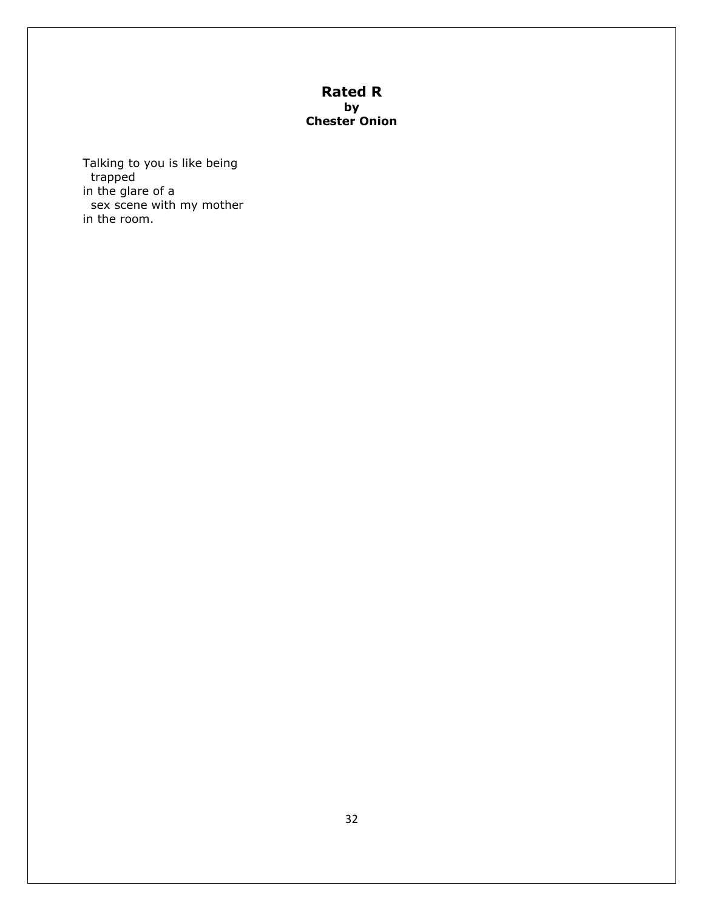### **Rated R by Chester Onion**

Talking to you is like being trapped in the glare of a sex scene with my mother in the room.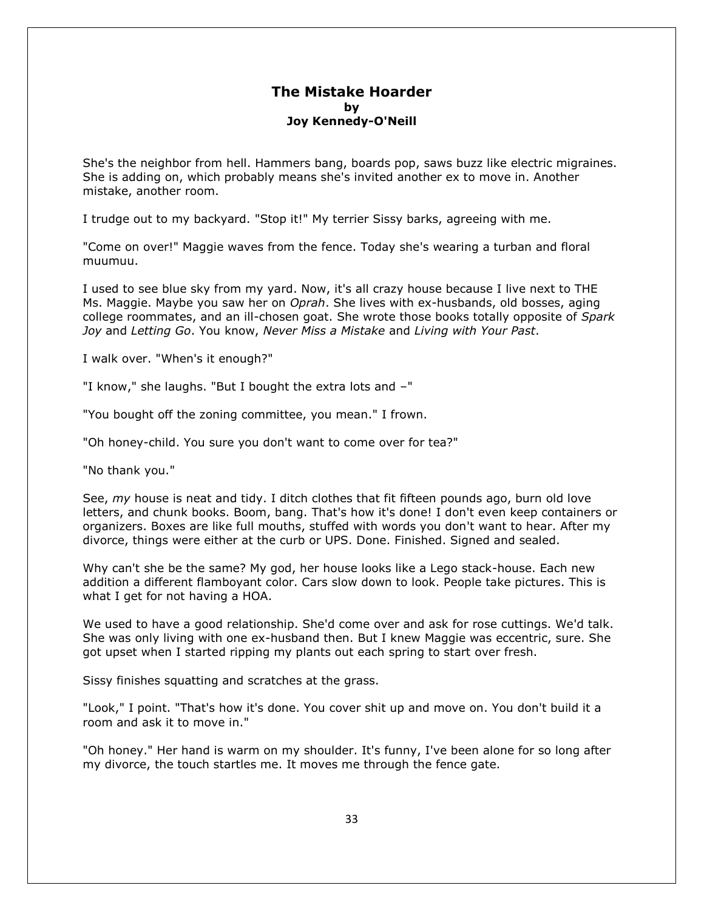#### **The Mistake Hoarder by Joy Kennedy-O'Neill**

She's the neighbor from hell. Hammers bang, boards pop, saws buzz like electric migraines. She is adding on, which probably means she's invited another ex to move in. Another mistake, another room.

I trudge out to my backyard. "Stop it!" My terrier Sissy barks, agreeing with me.

"Come on over!" Maggie waves from the fence. Today she's wearing a turban and floral muumuu.

I used to see blue sky from my yard. Now, it's all crazy house because I live next to THE Ms. Maggie. Maybe you saw her on *Oprah*. She lives with ex-husbands, old bosses, aging college roommates, and an ill-chosen goat. She wrote those books totally opposite of *Spark Joy* and *Letting Go*. You know, *Never Miss a Mistake* and *Living with Your Past*.

I walk over. "When's it enough?"

"I know," she laughs. "But I bought the extra lots and –"

"You bought off the zoning committee, you mean." I frown.

"Oh honey-child. You sure you don't want to come over for tea?"

"No thank you."

See, *my* house is neat and tidy. I ditch clothes that fit fifteen pounds ago, burn old love letters, and chunk books. Boom, bang. That's how it's done! I don't even keep containers or organizers. Boxes are like full mouths, stuffed with words you don't want to hear. After my divorce, things were either at the curb or UPS. Done. Finished. Signed and sealed.

Why can't she be the same? My god, her house looks like a Lego stack-house. Each new addition a different flamboyant color. Cars slow down to look. People take pictures. This is what I get for not having a HOA.

We used to have a good relationship. She'd come over and ask for rose cuttings. We'd talk. She was only living with one ex-husband then. But I knew Maggie was eccentric, sure. She got upset when I started ripping my plants out each spring to start over fresh.

Sissy finishes squatting and scratches at the grass.

"Look," I point. "That's how it's done. You cover shit up and move on. You don't build it a room and ask it to move in."

"Oh honey." Her hand is warm on my shoulder. It's funny, I've been alone for so long after my divorce, the touch startles me. It moves me through the fence gate.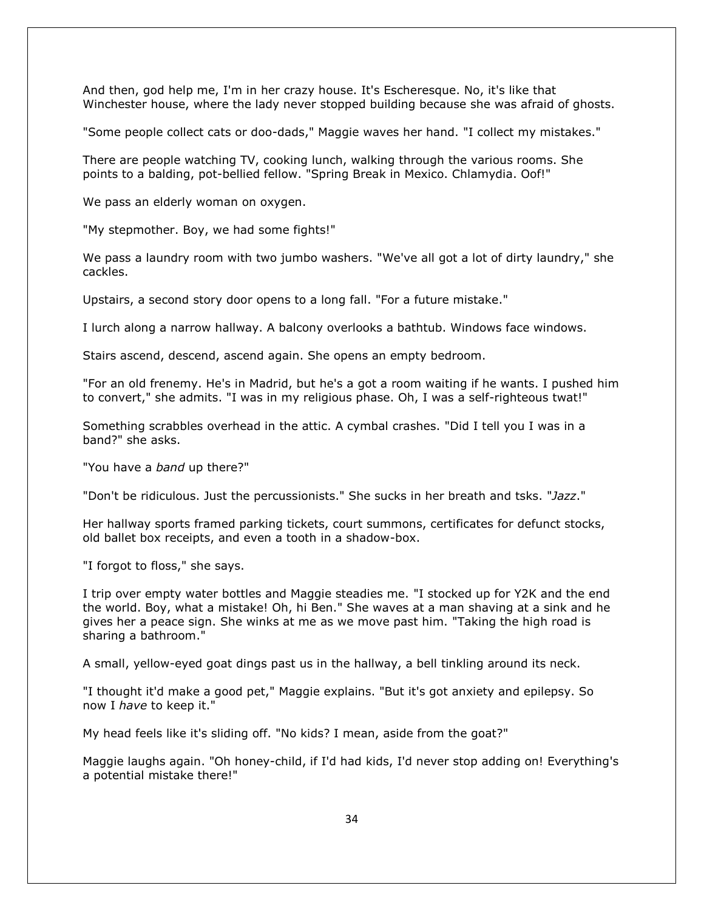And then, god help me, I'm in her crazy house. It's Escheresque. No, it's like that Winchester house, where the lady never stopped building because she was afraid of ghosts.

"Some people collect cats or doo-dads," Maggie waves her hand. "I collect my mistakes."

There are people watching TV, cooking lunch, walking through the various rooms. She points to a balding, pot-bellied fellow. "Spring Break in Mexico. Chlamydia. Oof!"

We pass an elderly woman on oxygen.

"My stepmother. Boy, we had some fights!"

We pass a laundry room with two jumbo washers. "We've all got a lot of dirty laundry," she cackles.

Upstairs, a second story door opens to a long fall. "For a future mistake."

I lurch along a narrow hallway. A balcony overlooks a bathtub. Windows face windows.

Stairs ascend, descend, ascend again. She opens an empty bedroom.

"For an old frenemy. He's in Madrid, but he's a got a room waiting if he wants. I pushed him to convert," she admits. "I was in my religious phase. Oh, I was a self-righteous twat!"

Something scrabbles overhead in the attic. A cymbal crashes. "Did I tell you I was in a band?" she asks.

"You have a *band* up there?"

"Don't be ridiculous. Just the percussionists." She sucks in her breath and tsks. "*Jazz*."

Her hallway sports framed parking tickets, court summons, certificates for defunct stocks, old ballet box receipts, and even a tooth in a shadow-box.

"I forgot to floss," she says.

I trip over empty water bottles and Maggie steadies me. "I stocked up for Y2K and the end the world. Boy, what a mistake! Oh, hi Ben." She waves at a man shaving at a sink and he gives her a peace sign. She winks at me as we move past him. "Taking the high road is sharing a bathroom."

A small, yellow-eyed goat dings past us in the hallway, a bell tinkling around its neck.

"I thought it'd make a good pet," Maggie explains. "But it's got anxiety and epilepsy. So now I *have* to keep it."

My head feels like it's sliding off. "No kids? I mean, aside from the goat?"

Maggie laughs again. "Oh honey-child, if I'd had kids, I'd never stop adding on! Everything's a potential mistake there!"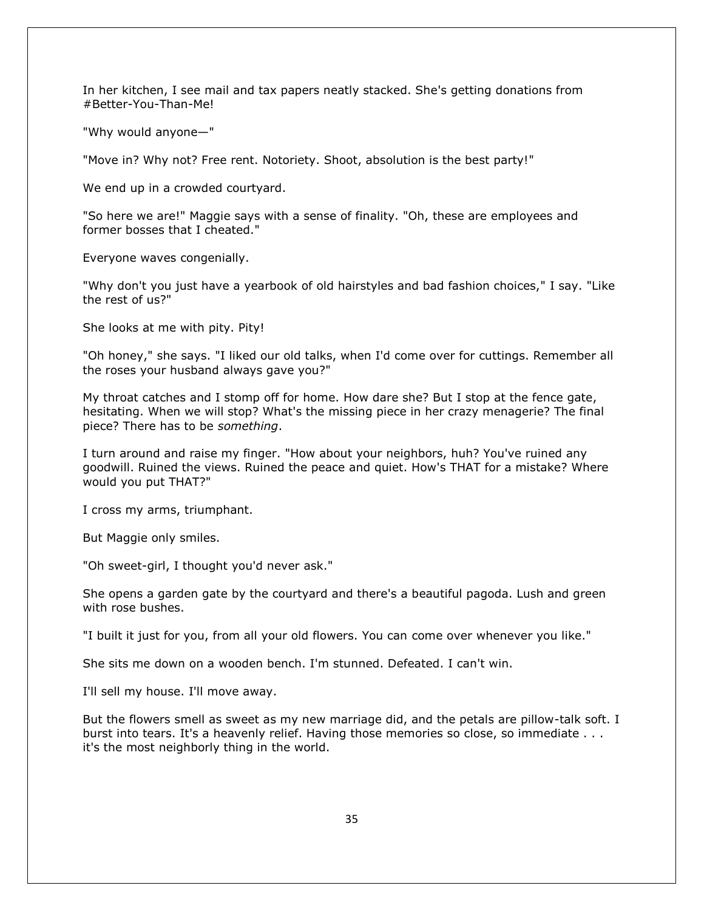In her kitchen, I see mail and tax papers neatly stacked. She's getting donations from #Better-You-Than-Me!

"Why would anyone—"

"Move in? Why not? Free rent. Notoriety. Shoot, absolution is the best party!"

We end up in a crowded courtyard.

"So here we are!" Maggie says with a sense of finality. "Oh, these are employees and former bosses that I cheated."

Everyone waves congenially.

"Why don't you just have a yearbook of old hairstyles and bad fashion choices," I say. "Like the rest of us?"

She looks at me with pity. Pity!

"Oh honey," she says. "I liked our old talks, when I'd come over for cuttings. Remember all the roses your husband always gave you?"

My throat catches and I stomp off for home. How dare she? But I stop at the fence gate, hesitating. When we will stop? What's the missing piece in her crazy menagerie? The final piece? There has to be *something*.

I turn around and raise my finger. "How about your neighbors, huh? You've ruined any goodwill. Ruined the views. Ruined the peace and quiet. How's THAT for a mistake? Where would you put THAT?"

I cross my arms, triumphant.

But Maggie only smiles.

"Oh sweet-girl, I thought you'd never ask."

She opens a garden gate by the courtyard and there's a beautiful pagoda. Lush and green with rose bushes.

"I built it just for you, from all your old flowers. You can come over whenever you like."

She sits me down on a wooden bench. I'm stunned. Defeated. I can't win.

I'll sell my house. I'll move away.

But the flowers smell as sweet as my new marriage did, and the petals are pillow-talk soft. I burst into tears. It's a heavenly relief. Having those memories so close, so immediate . . . it's the most neighborly thing in the world.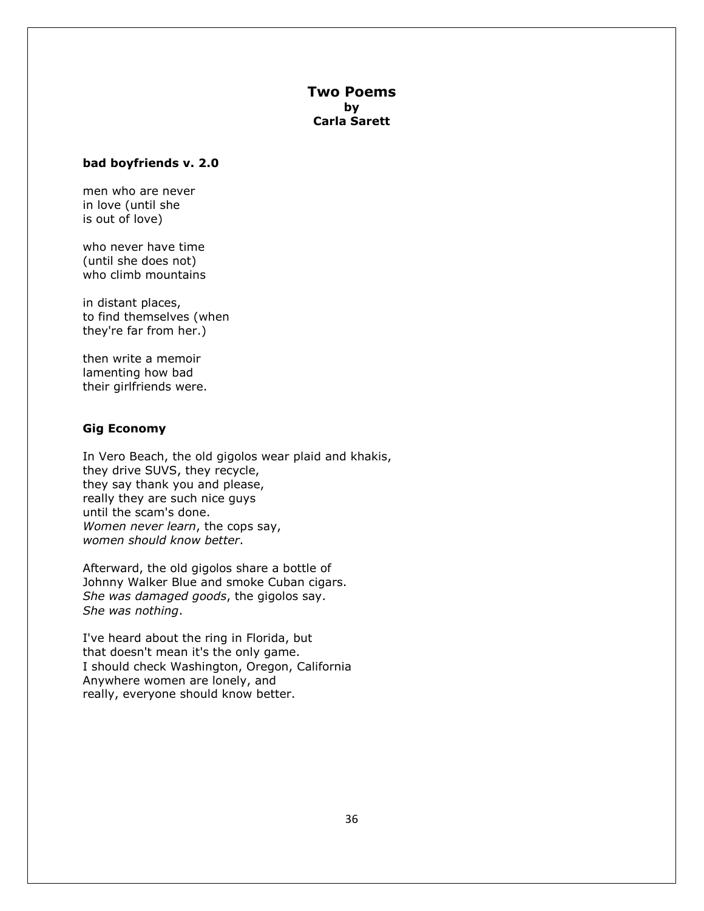#### **Two Poems by Carla Sarett**

#### **bad boyfriends v. 2.0**

men who are never in love (until she is out of love)

who never have time (until she does not) who climb mountains

in distant places, to find themselves (when they're far from her.)

then write a memoir lamenting how bad their girlfriends were.

#### **Gig Economy**

In Vero Beach, the old gigolos wear plaid and khakis, they drive SUVS, they recycle, they say thank you and please, really they are such nice guys until the scam's done. *Women never learn*, the cops say, *women should know better*.

Afterward, the old gigolos share a bottle of Johnny Walker Blue and smoke Cuban cigars. *She was damaged goods*, the gigolos say. *She was nothing*.

I've heard about the ring in Florida, but that doesn't mean it's the only game. I should check Washington, Oregon, California Anywhere women are lonely, and really, everyone should know better.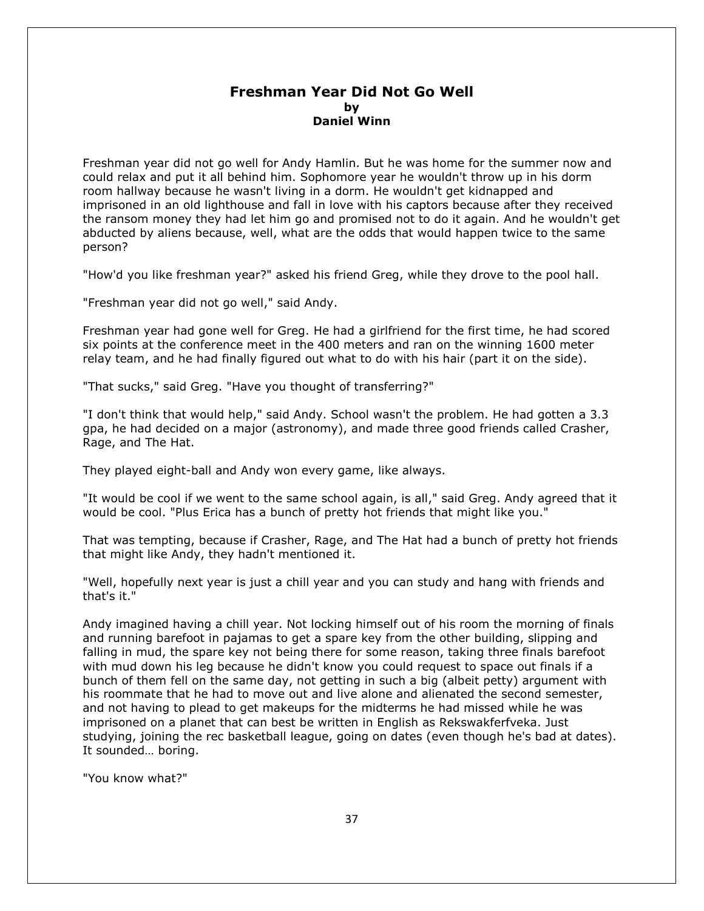#### **Freshman Year Did Not Go Well by Daniel Winn**

Freshman year did not go well for Andy Hamlin. But he was home for the summer now and could relax and put it all behind him. Sophomore year he wouldn't throw up in his dorm room hallway because he wasn't living in a dorm. He wouldn't get kidnapped and imprisoned in an old lighthouse and fall in love with his captors because after they received the ransom money they had let him go and promised not to do it again. And he wouldn't get abducted by aliens because, well, what are the odds that would happen twice to the same person?

"How'd you like freshman year?" asked his friend Greg, while they drove to the pool hall.

"Freshman year did not go well," said Andy.

Freshman year had gone well for Greg. He had a girlfriend for the first time, he had scored six points at the conference meet in the 400 meters and ran on the winning 1600 meter relay team, and he had finally figured out what to do with his hair (part it on the side).

"That sucks," said Greg. "Have you thought of transferring?"

"I don't think that would help," said Andy. School wasn't the problem. He had gotten a 3.3 gpa, he had decided on a major (astronomy), and made three good friends called Crasher, Rage, and The Hat.

They played eight-ball and Andy won every game, like always.

"It would be cool if we went to the same school again, is all," said Greg. Andy agreed that it would be cool. "Plus Erica has a bunch of pretty hot friends that might like you."

That was tempting, because if Crasher, Rage, and The Hat had a bunch of pretty hot friends that might like Andy, they hadn't mentioned it.

"Well, hopefully next year is just a chill year and you can study and hang with friends and that's it."

Andy imagined having a chill year. Not locking himself out of his room the morning of finals and running barefoot in pajamas to get a spare key from the other building, slipping and falling in mud, the spare key not being there for some reason, taking three finals barefoot with mud down his leg because he didn't know you could request to space out finals if a bunch of them fell on the same day, not getting in such a big (albeit petty) argument with his roommate that he had to move out and live alone and alienated the second semester, and not having to plead to get makeups for the midterms he had missed while he was imprisoned on a planet that can best be written in English as Rekswakferfveka. Just studying, joining the rec basketball league, going on dates (even though he's bad at dates). It sounded… boring.

"You know what?"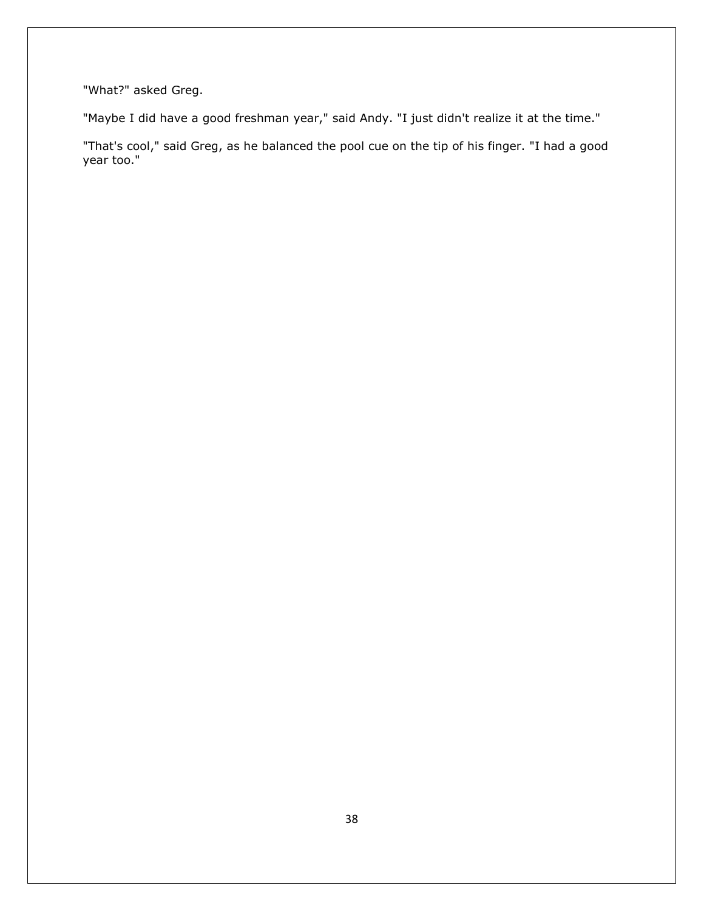"What?" asked Greg.

"Maybe I did have a good freshman year," said Andy. "I just didn't realize it at the time."

"That's cool," said Greg, as he balanced the pool cue on the tip of his finger. "I had a good year too."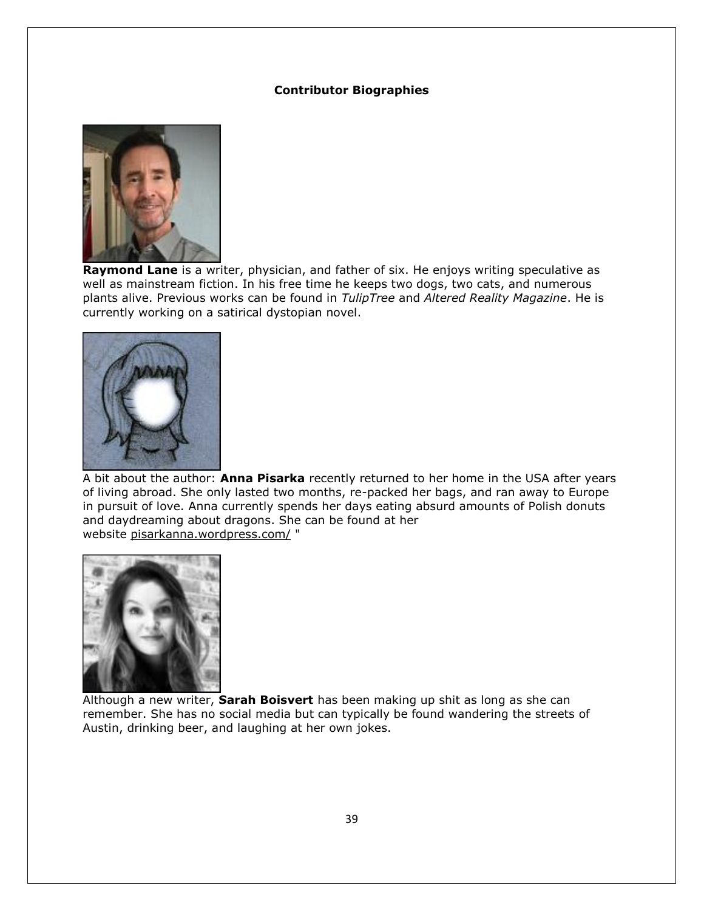#### **Contributor Biographies**



**Raymond Lane** is a writer, physician, and father of six. He enjoys writing speculative as well as mainstream fiction. In his free time he keeps two dogs, two cats, and numerous plants alive. Previous works can be found in *TulipTree* and *Altered Reality Magazine*. He is currently working on a satirical dystopian novel.



A bit about the author: **Anna Pisarka** recently returned to her home in the USA after years of living abroad. She only lasted two months, re-packed her bags, and ran away to Europe in pursuit of love. Anna currently spends her days eating absurd amounts of Polish donuts and daydreaming about dragons. She can be found at her website [pisarkanna.wordpress.com/](https://pisarkanna.wordpress.com/) "



Although a new writer, **Sarah Boisvert** has been making up shit as long as she can remember. She has no social media but can typically be found wandering the streets of Austin, drinking beer, and laughing at her own jokes.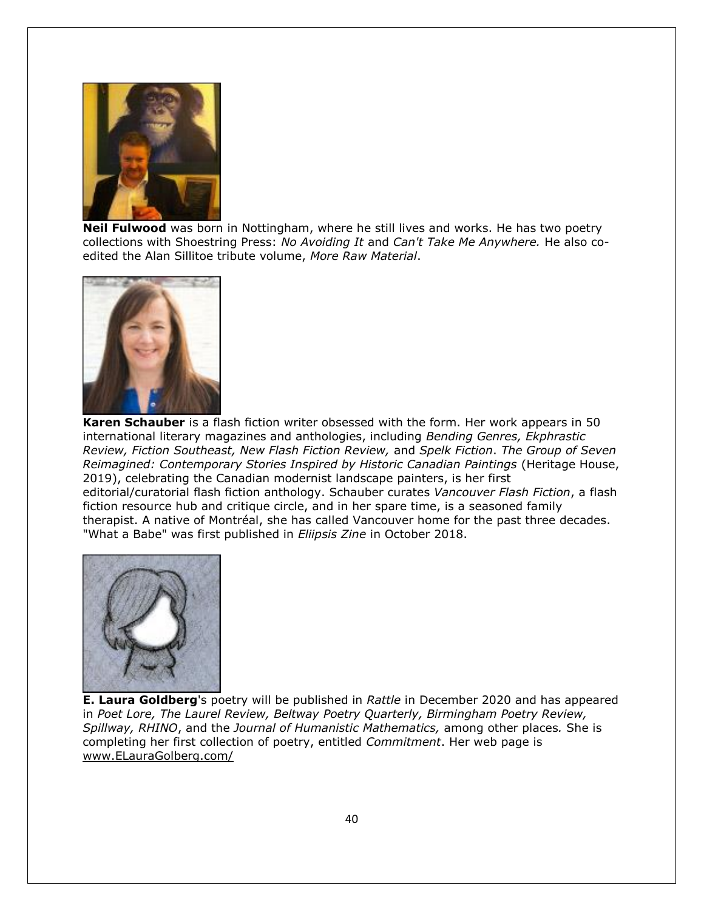

**Neil Fulwood** was born in Nottingham, where he still lives and works. He has two poetry collections with Shoestring Press: *No Avoiding It* and *Can't Take Me Anywhere.* He also coedited the Alan Sillitoe tribute volume, *More Raw Material*.



**Karen Schauber** is a flash fiction writer obsessed with the form. Her work appears in 50 international literary magazines and anthologies, including *Bending Genres, Ekphrastic Review, Fiction Southeast, New Flash Fiction Review,* and *Spelk Fiction*. *The Group of Seven Reimagined: Contemporary Stories Inspired by Historic Canadian Paintings* (Heritage House, 2019), celebrating the Canadian modernist landscape painters, is her first editorial/curatorial flash fiction anthology. Schauber curates *Vancouver Flash Fiction*, a flash fiction resource hub and critique circle, and in her spare time, is a seasoned family therapist. A native of Montréal, she has called Vancouver home for the past three decades. "What a Babe" was first published in *Eliipsis Zine* in October 2018.



**E. Laura Goldberg**'s poetry will be published in *Rattle* in December 2020 and has appeared in *Poet Lore, The Laurel Review, Beltway Poetry Quarterly, Birmingham Poetry Review, Spillway, RHINO*, and the *Journal of Humanistic Mathematics,* among other places*.* She is completing her first collection of poetry, entitled *Commitment*. Her web page is [www.ELauraGolberg.com/](http://www.elauragolberg.com/)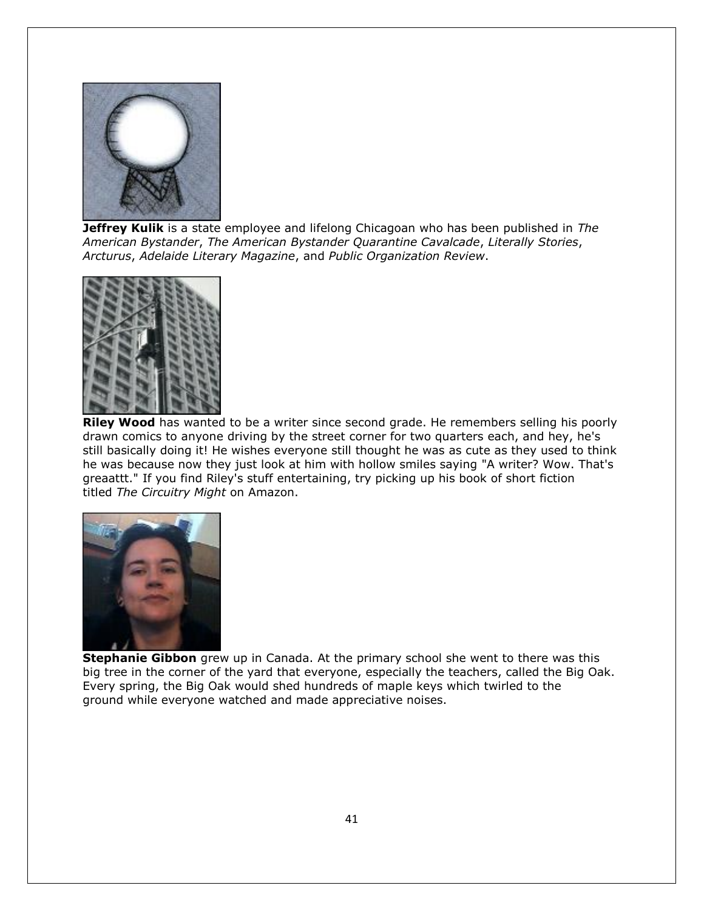

**Jeffrey Kulik** is a state employee and lifelong Chicagoan who has been published in *The American Bystander*, *The American Bystander Quarantine Cavalcade*, *Literally Stories*, *Arcturus*, *Adelaide Literary Magazine*, and *Public Organization Review*.



**Riley Wood** has wanted to be a writer since second grade. He remembers selling his poorly drawn comics to anyone driving by the street corner for two quarters each, and hey, he's still basically doing it! He wishes everyone still thought he was as cute as they used to think he was because now they just look at him with hollow smiles saying "A writer? Wow. That's greaattt." If you find Riley's stuff entertaining, try picking up his book of short fiction titled *The Circuitry Might* on Amazon.



**Stephanie Gibbon** grew up in Canada. At the primary school she went to there was this big tree in the corner of the yard that everyone, especially the teachers, called the Big Oak. Every spring, the Big Oak would shed hundreds of maple keys which twirled to the ground while everyone watched and made appreciative noises.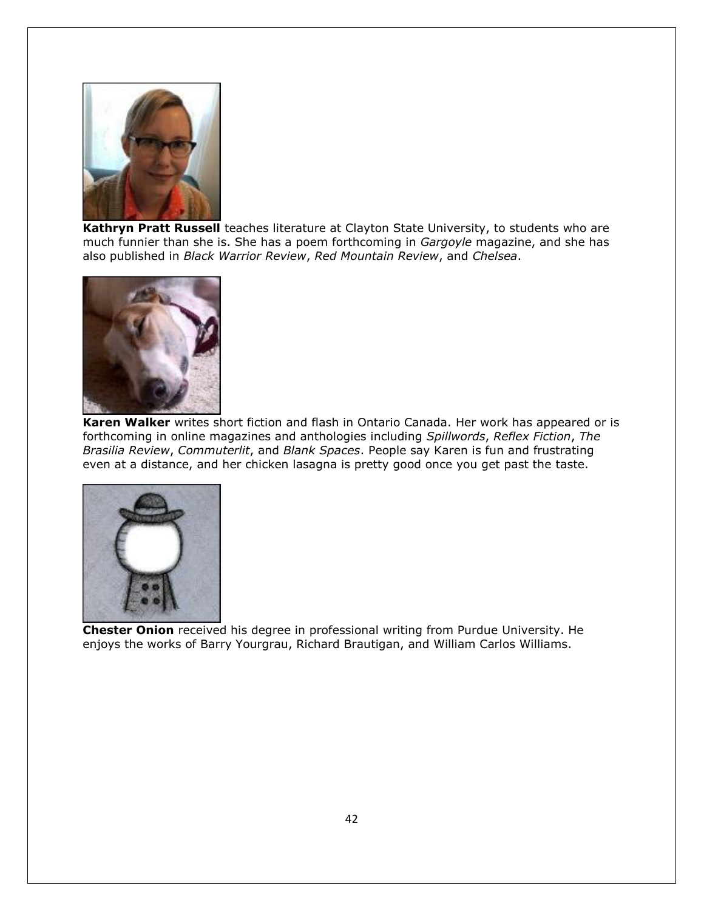

**Kathryn Pratt Russell** teaches literature at Clayton State University, to students who are much funnier than she is. She has a poem forthcoming in *Gargoyle* magazine, and she has also published in *Black Warrior Review*, *Red Mountain Review*, and *Chelsea*.



**Karen Walker** writes short fiction and flash in Ontario Canada. Her work has appeared or is forthcoming in online magazines and anthologies including *Spillwords*, *Reflex Fiction*, *The Brasilia Review*, *Commuterlit*, and *Blank Spaces*. People say Karen is fun and frustrating even at a distance, and her chicken lasagna is pretty good once you get past the taste.



**Chester Onion** received his degree in professional writing from Purdue University. He enjoys the works of Barry Yourgrau, Richard Brautigan, and William Carlos Williams.